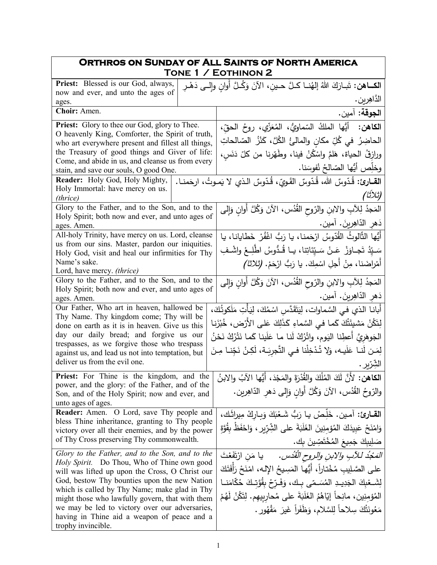| <b>ORTHROS ON SUNDAY OF ALL SAINTS OF NORTH AMERICA</b><br>TONE 1 / EOTHINON 2                                              |                                                                                       |  |
|-----------------------------------------------------------------------------------------------------------------------------|---------------------------------------------------------------------------------------|--|
| Priest: Blessed is our God, always,<br>الكــاهن: تَبـارَكَ اللهُ إلهُنــا كـلَّ حـينِ، الآنَ وَكُـلَّ أُوانٍ وإلــى دَهْـرِ |                                                                                       |  |
| now and ever, and unto the ages of<br>ages.                                                                                 | الدَّاهِرين.                                                                          |  |
| Choir: Amen.                                                                                                                | ا <b>لجوقة:</b> آمين.                                                                 |  |
| <b>Priest:</b> Glory to thee our God, glory to Thee.                                                                        | أَيُّها الملكُ السّماويُّ، المُعَزِّي، روحُ الحقِّ،<br>الكاهن:                        |  |
| O heavenly King, Comforter, the Spirit of truth,<br>who art everywhere present and fillest all things,                      | الحاضِرُ في كُلِّ مكانٍ والمالئُ الكُلَّ، كَنْزُ الصّالحاتِ                           |  |
| the Treasury of good things and Giver of life:                                                                              | ورازقُ الحياة، هَلمَّ واسْكُنْ فينا، وطَهّرنا من كلّ دَنَس،                           |  |
| Come, and abide in us, and cleanse us from every<br>stain, and save our souls, O good One.                                  | وخلِّص أيُّها الصّالحُ نُفوسَنا.                                                      |  |
| Reader: Holy God, Holy Mighty,                                                                                              | ا <b>لقــارئ:</b> قُدّوسٌ الله، قُدّوسٌ القَويّ، قُدّوسٌ الـذي لا يَمـوتُ، ارحَمنــا. |  |
| Holy Immortal: have mercy on us.<br>(thrice)                                                                                | (ثلاثًا)                                                                              |  |
| Glory to the Father, and to the Son, and to the                                                                             | المَجدُ لِلآبِ والابنِ والرّوحِ القُدُسِ، الآنَ وَكُلَّ أَوانِ وَإِلَى                |  |
| Holy Spirit; both now and ever, and unto ages of<br>ages. Amen.                                                             | دَهر الدّاهِرينَ. آمين.                                                               |  |
| All-holy Trinity, have mercy on us. Lord, cleanse                                                                           | أَيُّها الثَّالوثُ القُدّوسُ ارْحَمنا، يا رَبُّ اغْفُرْ خَطّايانا، يا                 |  |
| us from our sins. Master, pardon our iniquities.<br>Holy God, visit and heal our infirmities for Thy                        | سَـيّدُ تَجـاوَزْ  عَـنْ سَـيّنَاتِنا، يـا قُـدُوسُ اطْلِـعْ واشْـفِ                  |  |
| Name's sake.                                                                                                                | أَهْرِاضَنا، مِنْ أجلِ اسْمِكَ. يا رَبُّ ارْحَمْ. (تْلاثا)                            |  |
| Lord, have mercy. (thrice)                                                                                                  |                                                                                       |  |
| Glory to the Father, and to the Son, and to the<br>Holy Spirit; both now and ever, and unto ages of                         | المَجدُ لِلآبِ والابنِ والرّوحِ القُدُسِ، الآنَ وَكُلَّ أُوانِ وَإِلَى                |  |
| ages. Amen.                                                                                                                 | دَهر الدّاهِرينَ. آمين.                                                               |  |
| Our Father, Who art in heaven, hallowed be<br>Thy Name. Thy kingdom come; Thy will be                                       | أبانـا الذي فـي السَّماوات، لِيَتَقَدَّسِ اسْمُكَ، لِيَأْتِ مَلَكوتُكَ،               |  |
| done on earth as it is in heaven. Give us this                                                                              | لِتَكُنْ مَشيئَتُكَ كَما فـى السَّماءِ كَذَلِكَ عَلـى الأَرْض، خُبْزَنِـا             |  |
| day our daily bread; and forgive us our<br>trespasses, as we forgive those who trespass                                     | الْجَوهَرِيَّ أَعطِنا اليَوم، واتْرُكْ لَنا ما عَلَينا كَما نَتْرُكُ نَحْنُ           |  |
| against us, and lead us not into temptation, but                                                                            | لِمَن لَنـا عَلَيـه، وَلا تُدْخِلْنا فـي التَّجرِيَـة، لَكِنْ نَجِّنـا مِـنَ          |  |
| deliver us from the evil one.                                                                                               | الشِّرِّيرِ .                                                                         |  |
| Priest: For Thine is the kingdom, and the                                                                                   | الكاهن: لأَنَّ لَكَ المُلْكَ والقُدْرَةَ والمَجْدَ، أَيُّها الآبُ والابنُ             |  |
| power, and the glory: of the Father, and of the<br>Son, and of the Holy Spirit; now and ever, and<br>unto ages of ages.     | والرّوحُ القُدُس، الآنَ وَكُلَّ أُوانٍ وَإِلَى دَهْرِ الدّاهِرِينِ.                   |  |
| <b>Reader:</b> Amen. O Lord, save Thy people and                                                                            | القارئ: آمين. خَلِّصْ يا رَبُّ شَعْبَكَ وَبِارِكْ مِيراثَك،                           |  |
| bless Thine inheritance, granting to Thy people<br>victory over all their enemies, and by the power                         | وَامْنَحْ عَبِيدَكَ الْمُؤْمِنِينَ الْغَلَبَةَ على الشِّرِّيرِ ، وَاحْفَظْ بِقُوَّةٍ  |  |
| of Thy Cross preserving Thy commonwealth.                                                                                   | صَلِيبِكَ جَمِيعَ الْمُخْتَصِّينَ بِك.                                                |  |
| Glory to the Father, and to the Son, and to the                                                                             | <i>المَعْدُ للآبِ والابنِ والروح القُدُس.</i> يا مَنِ ارْتَفَعْتَ                     |  |
| Holy Spirit. Do Thou, Who of Thine own good<br>will was lifted up upon the Cross, O Christ our                              | على الصَّلِيبِ مُخْتاراً، أيُّها المَسِيحُ اﻹلـه، امْنَحْ رَأفَتَكَ                   |  |
| God, bestow Thy bounties upon the new Nation                                                                                | لِشَــعْبِكَ الْجَدِيــدِ الْمُسَـمّى بـك، وَفَـرّحْ بِقُوَّتـكَ حُكّامَنــا          |  |
| which is called by Thy Name; make glad in Thy<br>might those who lawfully govern, that with them                            | المُؤمِنِينِ، مانِحاً إِيّاهُمُ الغَلَبَةَ على مُحارِبِيهم. لِتَكُنْ لَهُمْ           |  |
| we may be led to victory over our adversaries,                                                                              | مَعُونَتُكَ سِلاحاً لِلسَّلامِ، وَظَفَراً غَيرَ مَقْهُورٍ .                           |  |
| having in Thine aid a weapon of peace and a<br>trophy invincible.                                                           |                                                                                       |  |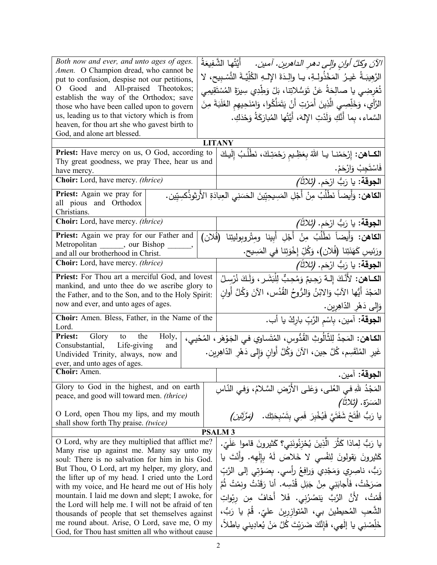| Both now and ever, and unto ages of ages.                                                                            | الآنَ وكلَّ أوانِ وإلى دهرِ الداهرينِ. آمين.       أيَّتُها الشَّفِيعَةُ                              |  |
|----------------------------------------------------------------------------------------------------------------------|-------------------------------------------------------------------------------------------------------|--|
| Amen. O Champion dread, who cannot be                                                                                |                                                                                                       |  |
| put to confusion, despise not our petitions,                                                                         | الرَّهِيبَـةُ غَيـرُ المَخْذُولِـةِ، يـا والِـدَةَ الإِلـهِ الكُلِّيَّـةَ التَّسْبِيحِ، لا            |  |
| O Good and All-praised Theotokos;<br>establish the way of the Orthodox; save                                         | تُعْرِضِي يا صالِحَةُ عَنْ تَوَسُّلاتِنا، بَلْ وَطِّدِي سِيرَةَ المُسْتَقِيمِي                        |  |
| those who have been called upon to govern                                                                            | الرَّأْيِ، وَخَلِّصِي الَّذِينَ أَمَرْتِ أَنْ يَتَمَلَّكُوا، وَامْنَحِيهِم الغَلَبَةَ مِنَ            |  |
| us, leading us to that victory which is from                                                                         | السَّماء ، بما أَنَّكِ وَلَدْتِ الإِلهَ، أَيَّتُها المُبارَكَةُ وَحْدَكِ.                             |  |
| heaven, for thou art she who gavest birth to                                                                         |                                                                                                       |  |
| God, and alone art blessed.                                                                                          |                                                                                                       |  |
|                                                                                                                      | <b>LITANY</b>                                                                                         |  |
| Priest: Have mercy on us, O God, according to                                                                        | الكـاهن: إِرْحَمْنـا يـا اللهُ بِعَظِـيم رَحْمَتِكَ، نَطْلُبُ إِلَيكَ                                 |  |
| Thy great goodness, we pray Thee, hear us and<br>have mercy.                                                         | فَاسْتَجِبْ وَارْحَمْ.                                                                                |  |
| Choir: Lord, have mercy. (thrice)                                                                                    | ا <b>لجوقة:</b> يا رَبُّ ارْحَم. <i>(ثلاثاً)</i>                                                      |  |
|                                                                                                                      |                                                                                                       |  |
| Priest: Again we pray for                                                                                            | ا <b>لكاهن:</b> وَأَيضاً نَطْلُبُ مِنْ أَجْلِ المَسِيحِيِّينَ الحَسَنِي العِبادَةِ الأَرثوذُكسِيِّين. |  |
| all pious and Orthodox<br>Christians.                                                                                |                                                                                                       |  |
| Choir: Lord, have mercy. (thrice)                                                                                    |                                                                                                       |  |
|                                                                                                                      | ا <b>لجوقة:</b> يا رَبُّ ارْحَم. <i>(ثلاثاً)</i>                                                      |  |
| Priest: Again we pray for our Father and<br>Metropolitan _______, our Bishop                                         | الكاهن: وَأَيضاً نَطْلُبُ مِنْ أَجْلِ أَبِينا ومِتْروبوليتِنا (فُلان)                                 |  |
| and all our brotherhood in Christ.                                                                                   | ورَئِيسِ كَهَنَتِنا (فُلان)، وَكُلِّ إِخْوَتِنا في المَسِيحِ.                                         |  |
| <b>Choir:</b> Lord, have mercy. <i>(thrice)</i>                                                                      | ا <b>لجوقة:</b> يا رَبُّ ارْحَم. <i>(ثلاثاً)</i>                                                      |  |
| Priest: For Thou art a merciful God, and lovest                                                                      | الكـاهن: لأَنَّكَ إِلـهٌ رَحِيمٌ وَمُحِبٌّ لِلْبَشَرِ ، وَلَـكَ نُرْسِلُ                              |  |
| mankind, and unto thee do we ascribe glory to                                                                        |                                                                                                       |  |
| the Father, and to the Son, and to the Holy Spirit:                                                                  | المَجْدَ أَيُّها الآبُ وَالابْنُ وَالرُّوحُ القُدُسِ، الآنَ وَكُلَّ أُوانٍ                            |  |
| now and ever, and unto ages of ages.                                                                                 | وَإِلَى دَهْرِ الدّاهِرِينِ.                                                                          |  |
| Choir: Amen. Bless, Father, in the Name of the                                                                       | ا <b>لجوقة</b> : آمين، بِاسْمِ الرَّبِّ باركْ يا أب.                                                  |  |
| Lord.<br><b>Priest:</b> Glory to the<br>Holy,                                                                        |                                                                                                       |  |
| Consubstantial, Life-giving<br>and                                                                                   | ا <b>لكـاهن:</b> المَجدُ لِلثَّالُوتِ القُدُّوسِ، المُتَساوي في الجَوْهَر ، المُحْيي،                 |  |
| غَيرِ المُنْقَسِم، كُلَّ حِين، الآنَ وَكُلَّ أَوانِ وَإِلى دَهْرِ الذّاهِرِين.<br>Undivided Trinity, always, now and |                                                                                                       |  |
| ever, and unto ages of ages.                                                                                         |                                                                                                       |  |
| Choir: Amen.                                                                                                         | ا <b>لجوقة</b> : آمين.                                                                                |  |
| Glory to God in the highest, and on earth                                                                            | المَجْدُ للهِ في العُلي، وَعَلى الأَرْضِ السَّلامُ، وَفي النَّاسِ                                     |  |
| peace, and good will toward men. (thrice)                                                                            | المَسَرّة. <i>(ثلاثاً)</i>                                                                            |  |
| O Lord, open Thou my lips, and my mouth                                                                              |                                                                                                       |  |
| shall show forth Thy praise. (twice)                                                                                 | يا رَبُّ افْتَحْ شَفَتَيَّ فَيُخْبِرَ فَمِي بِتَسْبِحَتِكَ.   (مَرَّتَيْنِ)                           |  |
|                                                                                                                      | <b>PSALM3</b>                                                                                         |  |
| O Lord, why are they multiplied that afflict me?                                                                     | يا رَبُّ لِماذا كَثُرَ  الَّذِينَ يُحْزِنُونَنِي؟ كَثيرونَ قاموا عَلَيّ.                              |  |
| Many rise up against me. Many say unto my                                                                            |                                                                                                       |  |
| soul: There is no salvation for him in his God.                                                                      | كَثيرونَ يَقولونَ لِنَفْسى لا خَلاصَ لَهُ بِإِلٰهِه. وأَنْتَ يا                                       |  |
| But Thou, O Lord, art my helper, my glory, and                                                                       | رَبُّ، ناصِرِي وَمَجْدِي وَرافِعُ رأسي. بِصَوْتِي إِلَى الرَّبِّ                                      |  |
| the lifter up of my head. I cried unto the Lord                                                                      | صَرَخْتُ، فَأَجابَنِى مِنْ جَبَلِ قُدْسِه. أنا رَقَدْتُ ونِمْتُ ثُمَّ                                 |  |
| with my voice, and He heard me out of His holy<br>mountain. I laid me down and slept; I awoke, for                   |                                                                                                       |  |
| the Lord will help me. I will not be afraid of ten                                                                   | قُمْتُ، لأَنَّ الرَّبَّ يَنصُرُني. فَلا أَخافُ مِن رِبْواتِ                                           |  |
| thousands of people that set themselves against                                                                      | الشَّعبِ المُحيطينَ بي، المُتوازرينَ عليّ. قُمْ يا رَبُّ،                                             |  |
| me round about. Arise, O Lord, save me, O my                                                                         | خَلِّصْنِي يا إِلْهِي، فَإِنَّكَ ضَرَبْتَ كُلَّ مَنْ يُعادِيني باطلاً،                                |  |
| God, for Thou hast smitten all who without cause                                                                     |                                                                                                       |  |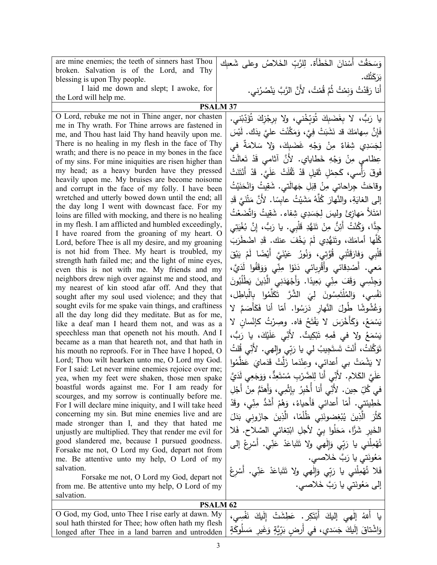| are mine enemies; the teeth of sinners hast Thou                                                        | وَسَحَقْتَ أَسْنانَ الخَطَأة. لِلرَّبِّ الخَلاصُ وعلى شَعبِك                  |  |
|---------------------------------------------------------------------------------------------------------|-------------------------------------------------------------------------------|--|
| broken. Salvation is of the Lord, and Thy                                                               | بَرَكَتُك.                                                                    |  |
| blessing is upon Thy people.                                                                            |                                                                               |  |
| I laid me down and slept; I awoke, for                                                                  | أَنا رَقَدْتُ وَنِمْتُ ثُمَّ قُمْتُ، لأَنَّ الرَّبَّ يَنْصُرُني.              |  |
| the Lord will help me.<br><b>PSALM 37</b>                                                               |                                                                               |  |
| O Lord, rebuke me not in Thine anger, nor chasten                                                       |                                                                               |  |
| me in Thy wrath. For Thine arrows are fastened in                                                       | يا رَبُّ، لا بِغَضَبِكَ تُوَبِّخْني، ولا بِرِجْزِكَ تُؤَدِّبْني.              |  |
| me, and Thou hast laid Thy hand heavily upon me.                                                        | فَإِنَّ سِهامَكَ قد نَشَبَتْ فِيَّ، وَمَكَّنْتَ عليَّ يدَك. لَيْسَ            |  |
| There is no healing in my flesh in the face of Thy                                                      | لِجَسَدِي شِفاءٌ مِنْ وَجْهِ غَضَبِكَ، وَلا سَلامَةٌ في                       |  |
| wrath; and there is no peace in my bones in the face                                                    |                                                                               |  |
| of my sins. For mine iniquities are risen higher than                                                   | عِظامي مِنْ وَجْهِ خَطايايِ. لأَنَّ أثامي قَدْ تَعالَتْ                       |  |
| my head; as a heavy burden have they pressed                                                            | فَوقَ رَأْسي، كَحِمْلِ ثَقيلِ قَدْ ثَقُلَتْ عَلَيَّ. قَدْ أَنْتَنَتْ          |  |
| heavily upon me. My bruises are become noisome                                                          |                                                                               |  |
| and corrupt in the face of my folly. I have been                                                        | وقاحَتْ جِراحاتي مِنْ قِبَلِ جَهالَتي. شَقِيتُ وَانْحَنَيْتُ                  |  |
| wretched and utterly bowed down until the end; all                                                      | إلى الغايَةِ، والنَّهارَ كُلَّهُ مَشَيْتُ عابِسًا. لأَنَّ مَتْنَيَّ قَدِ      |  |
| the day long I went with downcast face. For my                                                          | امْتَلاً مَهازِئَ ولِيسَ لِجَسَدِي شِفاءٍ. شَقِيتُ وَاتَّضَعْتُ               |  |
| loins are filled with mocking, and there is no healing                                                  |                                                                               |  |
| in my flesh. I am afflicted and humbled exceedingly,                                                    | جِدًّا، وَكُنْتُ أَئِنُّ مِنْ تَنَهُّدِ قَلْبِي. يا رَبُّ، إِنَّ بُغْيَتِي    |  |
| I have roared from the groaning of my heart. O<br>Lord, before Thee is all my desire, and my groaning   | كُلُّها أمامَكَ، وتَنَهُّدِي لَمْ يَخْفَ عنك. قَدِ اضْطَرَبَ                  |  |
| is not hid from Thee. My heart is troubled, my                                                          |                                                                               |  |
| strength hath failed me; and the light of mine eyes,                                                    | قَلْبِي وَفارَقَتْنِي قُوَّتِي، وَنُورُ عَيْنَيَّ أَيْضًا لَمْ يَبْقَ         |  |
| even this is not with me. My friends and my                                                             | مَعي. أَصْدِقائي وأَقْرِبائي دَنَوْا مِنِّي وَوَقَفُوا لَدَيَّ،               |  |
| neighbors drew nigh over against me and stood, and                                                      | وَجِنْسِي وَقَفَ مِنِّي بَعِيدًا. وَأَجْهَدَنِي الَّذِينَ يَطْلُبُونَ         |  |
| my nearest of kin stood afar off. And they that                                                         |                                                                               |  |
| sought after my soul used violence; and they that                                                       | نَفْسِي، وَالمُلْتَمِسُونَ لِيَ الشَّرَّ تَكَلَّمُوا بِالْباطِل،              |  |
| sought evils for me spake vain things, and craftiness                                                   | وَغُشُوشًا طُولَ النَّهارِ دَرَسُوا. أمّا أنا فَكَأْصَمَّ لا                  |  |
| all the day long did they meditate. But as for me,                                                      | يَسْمَعُ، وَكَأَخْرَسَ لا يَفْتَحُ فاه. وصِرْتُ كإنْسان لا                    |  |
| like a deaf man I heard them not, and was as a                                                          |                                                                               |  |
| speechless man that openeth not his mouth. And I<br>became as a man that heareth not, and that hath in  | يَسْمَعُ ولا في فَمِهِ تَبْكِيتٌ. لأَنِّي عَلَيْكَ، يا رَبُّ،                 |  |
| his mouth no reproofs. For in Thee have I hoped, O                                                      | تَوَكَّلتُ، أَنْتَ تَستَجِيبُ لي يا رَبِّي وإِلهي. لأَنِّي قُلتُ              |  |
| Lord; Thou wilt hearken unto me, O Lord my God.                                                         |                                                                               |  |
| For I said: Let never mine enemies rejoice over me;                                                     | لا يَشْمَتْ بي أعدائي، وعِنْدَما زَلَّتْ قَدَمايَ عَظَّمُوا                   |  |
| yea, when my feet were shaken, those men spake                                                          | عَلَيَّ الكَلام. لأَنِّي أَنا لِلضَّرْبِ مُسْتَعِدٍّ، وَوَجَعِي لَدَيَّ       |  |
| boastful words against me. For I am ready for                                                           | في كُلِّ حِين. لأَنِّي أَنا أَخْبِرُ بِإِثْمِي، وَأَهتَمَّ مِنْ أَجْلِ        |  |
| scourges, and my sorrow is continually before me.                                                       |                                                                               |  |
| For I will declare mine iniquity, and I will take heed                                                  | خَطِيئتي. أمّا أعدائي فَأَحياءُ، وَهُمْ أَشَدُّ مِنِّي، وقَدْ                 |  |
| concerning my sin. But mine enemies live and are                                                        | كَثُّرَ   الَّذِينَ   يُبْغِضونَنِي   ظُلُمًا،   الَّذِينَ   جازَوني   بَدَلَ |  |
| made stronger than I, and they that hated me                                                            | الْخَيْرِ شَرًّا، مَحَلُوا بِيْ لأَجْلِ ابْتِغائي الصَّلاحِ. فَلا             |  |
| unjustly are multiplied. They that render me evil for<br>good slandered me, because I pursued goodness. |                                                                               |  |
| Forsake me not, O Lord my God, depart not from                                                          | تُهْمِلْني يا رَبِّي وَإِلْهِي ولا تَتَبَاعَدْ عَنِّي. أَسْرِعْ إلى           |  |
| me. Be attentive unto my help, O Lord of my                                                             | مَعُونَتي يا رَبَّ خَلاصي.                                                    |  |
| salvation.                                                                                              | فَلا تُهْمِلْني يا رَبِّي وَإِلْهِي ولا تَتَباعَدْ عَنِّي. أَسْرِعْ           |  |
| Forsake me not, O Lord my God, depart not                                                               |                                                                               |  |
| from me. Be attentive unto my help, O Lord of my                                                        | إلى مَعُونَتي يا رَبَّ خَلاصي.                                                |  |
| salvation.                                                                                              |                                                                               |  |
| <b>PSALM 62</b>                                                                                         |                                                                               |  |
| O God, my God, unto Thee I rise early at dawn. My                                                       | يا أللهُ إلْهِي إِلَيْكَ أَبْتَكِرٍ.<br>عَطشَتْ اللكَ                         |  |
| soul hath thirsted for Thee; how often hath my flesh                                                    |                                                                               |  |

وَاشْتاقَ إِلَيكَ جَسَدي، في أَرضٍ بَرِّيَّةٍ وَغَيرِ مَسلُوكَةٍ

longed after Thee in a land barren and untrodden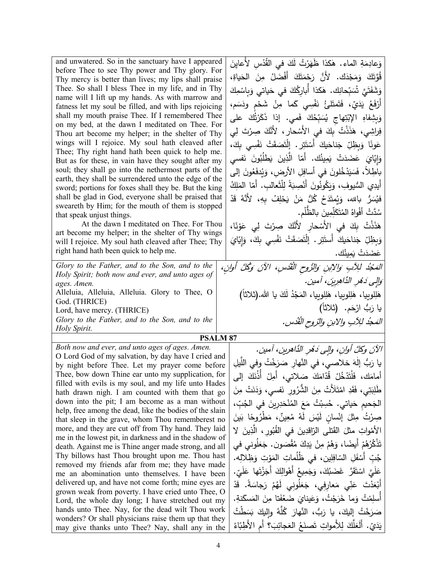| and unwatered. So in the sanctuary have I appeared<br>before Thee to see Thy power and Thy glory. For<br>Thy mercy is better than lives; my lips shall praise<br>Thee. So shall I bless Thee in my life, and in Thy<br>name will I lift up my hands. As with marrow and<br>fatness let my soul be filled, and with lips rejoicing<br>shall my mouth praise Thee. If I remembered Thee<br>on my bed, at the dawn I meditated on Thee. For<br>Thou art become my helper; in the shelter of Thy<br>wings will I rejoice. My soul hath cleaved after<br>Thee; Thy right hand hath been quick to help me.<br>But as for these, in vain have they sought after my<br>soul; they shall go into the nethermost parts of the<br>earth, they shall be surrendered unto the edge of the<br>sword; portions for foxes shall they be. But the king<br>shall be glad in God, everyone shall be praised that<br>sweareth by Him; for the mouth of them is stopped<br>that speak unjust things.<br>At the dawn I meditated on Thee. For Thou<br>art become my helper; in the shelter of Thy wings<br>will I rejoice. My soul hath cleaved after Thee; Thy<br>right hand hath been quick to help me.<br>Glory to the Father, and to the Son, and to the<br>Holy Spirit; both now and ever, and unto ages of<br>ages. Amen.<br>Alleluia, Alleluia, Alleluia. Glory to Thee, O<br>God. (THRICE) | وَعادِمَةِ الماء. هٰكذا ظَهَرْتُ لَكَ في القُدْسِ لأعايِنَ<br>قُوَّتَكَ وَمَجْدَكَ. لأَنَّ رَحْمَتَكَ أَفْضَلُ مِنَ الْحَياةِ،<br>وَشَفَتَيَّ شَبِّحانِكَ. هٰكذا أَباركُكَ في حَياتي وَبِاسْمِكَ<br>أَرْفَعُ يَدَيِّ، فَتَمتَلَّئُ نَفْسِي كَما مِنْ شَحْمٍ ودَسَمٍ،<br>وَبِشِفاهِ الإِبْتِهاجِ يُسَبِّحُكَ فَمي. إذا ذَكَرْتُكَ على<br>فِراشِي، هَذَذْتُ بِكَ في الأَسْحارِ ، لأَنَّكَ صِرْتَ لِي<br>عَونًا وَبِظِلِّ جَناحَيكَ أَسْتَتِرٍ . إِنَّصَقَتْ نَفْسِي بِكَ،<br>وَإِيّايَ عَضَدَتْ يَمِينُك. أَمّا الَّذِينَ يَطْلُبُونَ نَفسي<br>باطِلاً، فَسَيَدْخُلونَ في أسافِلِ الأرض، وَيُدفَعُونَ إلى<br>أيدِي السُّيوفِ، وَيَكُونُونَ أَنْصِبَةً لِلْثَعالبِ. أمّا المَلِكُ<br>فيُسَرُّ بالله، وَيُمتَدَحُ كُلُّ مَنْ يَحْلِفُ بِهِ، لأَنَّهُ قَدْ<br>سُدَّتْ أَفْواهُ الْمُتَكَلِّمِينَ بِالظَّلْمِ.<br>هَذَذْتُ بِكَ في الأَسْحارِ لأَنَّكَ صِرْتَ لِى عَوْنًا،<br>وَبِظِلِّ جَناحَيكَ أَستَتِر . اِلْتَصَقَتْ نَفْسِي بِكَ، وَإِيّايَ<br>عَضَدَتْ يَمِينُك.<br>المَجْدُ للِأَبِ وَالِأَبِنِ وَالرُّوحِ الْقُدُسِ، الآنَ وَكُلَّ أُوانِ،<br>ُوَالِّي دَهْرِ الذَّاهِرِينَ، آمين.<br>هَلِلوبِيا، هَلِلوبِيا، هَلِلوبِيا، المَجْدُ لَكَ يا الله.(ثلاثاً)<br>يا رَبُّ ارْحَم.  (ثلاثاً) |
|------------------------------------------------------------------------------------------------------------------------------------------------------------------------------------------------------------------------------------------------------------------------------------------------------------------------------------------------------------------------------------------------------------------------------------------------------------------------------------------------------------------------------------------------------------------------------------------------------------------------------------------------------------------------------------------------------------------------------------------------------------------------------------------------------------------------------------------------------------------------------------------------------------------------------------------------------------------------------------------------------------------------------------------------------------------------------------------------------------------------------------------------------------------------------------------------------------------------------------------------------------------------------------------------------------------------------------------------------------------------------|-------------------------------------------------------------------------------------------------------------------------------------------------------------------------------------------------------------------------------------------------------------------------------------------------------------------------------------------------------------------------------------------------------------------------------------------------------------------------------------------------------------------------------------------------------------------------------------------------------------------------------------------------------------------------------------------------------------------------------------------------------------------------------------------------------------------------------------------------------------------------------------------------------------------------------------------------------------------------------------------------------------------------------------------------------------------------------------------------------------------------------------------------------------------------------------------|
| Lord, have mercy. (THRICE)<br>Glory to the Father, and to the Son, and to the<br>Holy Spirit.                                                                                                                                                                                                                                                                                                                                                                                                                                                                                                                                                                                                                                                                                                                                                                                                                                                                                                                                                                                                                                                                                                                                                                                                                                                                                | المَجُد للِآبِ والابنِ والتروح القُدُس.                                                                                                                                                                                                                                                                                                                                                                                                                                                                                                                                                                                                                                                                                                                                                                                                                                                                                                                                                                                                                                                                                                                                                   |
| <b>PSALM 87</b>                                                                                                                                                                                                                                                                                                                                                                                                                                                                                                                                                                                                                                                                                                                                                                                                                                                                                                                                                                                                                                                                                                                                                                                                                                                                                                                                                              |                                                                                                                                                                                                                                                                                                                                                                                                                                                                                                                                                                                                                                                                                                                                                                                                                                                                                                                                                                                                                                                                                                                                                                                           |
| Both now and ever, and unto ages of ages. Amen.                                                                                                                                                                                                                                                                                                                                                                                                                                                                                                                                                                                                                                                                                                                                                                                                                                                                                                                                                                                                                                                                                                                                                                                                                                                                                                                              | الآنَ وكلَّ أوانِ، وإلى دَهْرِ الدَّاهرينِ، آمين.                                                                                                                                                                                                                                                                                                                                                                                                                                                                                                                                                                                                                                                                                                                                                                                                                                                                                                                                                                                                                                                                                                                                         |
| O Lord God of my salvation, by day have I cried and                                                                                                                                                                                                                                                                                                                                                                                                                                                                                                                                                                                                                                                                                                                                                                                                                                                                                                                                                                                                                                                                                                                                                                                                                                                                                                                          | يا رَبُّ إلٰهَ خلاصي، في النَّهارِ صَرَخْتُ وفي اللَّيلِ                                                                                                                                                                                                                                                                                                                                                                                                                                                                                                                                                                                                                                                                                                                                                                                                                                                                                                                                                                                                                                                                                                                                  |
| by night before Thee. Let my prayer come before<br>Thee, bow down Thine ear unto my supplication, for                                                                                                                                                                                                                                                                                                                                                                                                                                                                                                                                                                                                                                                                                                                                                                                                                                                                                                                                                                                                                                                                                                                                                                                                                                                                        | أمامَك، فَلْتَدْخُلْ قُدّامَكَ صَلاتي، أَمِلْ أُذُنَكَ إلى                                                                                                                                                                                                                                                                                                                                                                                                                                                                                                                                                                                                                                                                                                                                                                                                                                                                                                                                                                                                                                                                                                                                |
| filled with evils is my soul, and my life unto Hades                                                                                                                                                                                                                                                                                                                                                                                                                                                                                                                                                                                                                                                                                                                                                                                                                                                                                                                                                                                                                                                                                                                                                                                                                                                                                                                         |                                                                                                                                                                                                                                                                                                                                                                                                                                                                                                                                                                                                                                                                                                                                                                                                                                                                                                                                                                                                                                                                                                                                                                                           |
| hath drawn nigh. I am counted with them that go                                                                                                                                                                                                                                                                                                                                                                                                                                                                                                                                                                                                                                                                                                                                                                                                                                                                                                                                                                                                                                                                                                                                                                                                                                                                                                                              | طَٰلِبَتِي، فَقَدِ امْتَلَأَتْ مِنَ الشَّرُورِ نَفْسَى، وَدَنَتْ مِنَ                                                                                                                                                                                                                                                                                                                                                                                                                                                                                                                                                                                                                                                                                                                                                                                                                                                                                                                                                                                                                                                                                                                     |
| down into the pit; I am become as a man without                                                                                                                                                                                                                                                                                                                                                                                                                                                                                                                                                                                                                                                                                                                                                                                                                                                                                                                                                                                                                                                                                                                                                                                                                                                                                                                              | الْجَحيم حَياتي. حُسِبْتُ مَعَ الْمُنْحَدِرِينَ في الْجُبِّ،                                                                                                                                                                                                                                                                                                                                                                                                                                                                                                                                                                                                                                                                                                                                                                                                                                                                                                                                                                                                                                                                                                                              |
| help, free among the dead, like the bodies of the slain                                                                                                                                                                                                                                                                                                                                                                                                                                                                                                                                                                                                                                                                                                                                                                                                                                                                                                                                                                                                                                                                                                                                                                                                                                                                                                                      | صِرْتُ مِثْلَ إِنْسانٍ لَيْسَ لَهُ مُعِينٌ، مَطْرُوحًا بَينَ                                                                                                                                                                                                                                                                                                                                                                                                                                                                                                                                                                                                                                                                                                                                                                                                                                                                                                                                                                                                                                                                                                                              |
| that sleep in the grave, whom Thou rememberest no<br>more, and they are cut off from Thy hand. They laid                                                                                                                                                                                                                                                                                                                                                                                                                                                                                                                                                                                                                                                                                                                                                                                                                                                                                                                                                                                                                                                                                                                                                                                                                                                                     |                                                                                                                                                                                                                                                                                                                                                                                                                                                                                                                                                                                                                                                                                                                                                                                                                                                                                                                                                                                                                                                                                                                                                                                           |
| me in the lowest pit, in darkness and in the shadow of                                                                                                                                                                                                                                                                                                                                                                                                                                                                                                                                                                                                                                                                                                                                                                                                                                                                                                                                                                                                                                                                                                                                                                                                                                                                                                                       | الأَمْواتِ مثلَ القَتلى الرّاقدِينَ في القُبُورِ ، الَّذِينَ لا                                                                                                                                                                                                                                                                                                                                                                                                                                                                                                                                                                                                                                                                                                                                                                                                                                                                                                                                                                                                                                                                                                                           |
| death. Against me is Thine anger made strong, and all                                                                                                                                                                                                                                                                                                                                                                                                                                                                                                                                                                                                                                                                                                                                                                                                                                                                                                                                                                                                                                                                                                                                                                                                                                                                                                                        | تَذْكُرُهُمْ أَيضًا، وَهُمْ مِنْ يَدِكَ مُقْصَون. جَعَلُوني في                                                                                                                                                                                                                                                                                                                                                                                                                                                                                                                                                                                                                                                                                                                                                                                                                                                                                                                                                                                                                                                                                                                            |
| Thy billows hast Thou brought upon me. Thou hast                                                                                                                                                                                                                                                                                                                                                                                                                                                                                                                                                                                                                                                                                                                                                                                                                                                                                                                                                                                                                                                                                                                                                                                                                                                                                                                             | جُبّ أَسْفَلِ السّافِلِينِ، في ظُلُماتِ المَوْتِ وَظِلالِه.                                                                                                                                                                                                                                                                                                                                                                                                                                                                                                                                                                                                                                                                                                                                                                                                                                                                                                                                                                                                                                                                                                                               |
| removed my friends afar from me; they have made                                                                                                                                                                                                                                                                                                                                                                                                                                                                                                                                                                                                                                                                                                                                                                                                                                                                                                                                                                                                                                                                                                                                                                                                                                                                                                                              | عَلَيَّ اسْتَقَرَّ غَضَبُكَ، وَجَمِيعُ أَهْوالِكَ أَجَزْتَها عَلَىّ.                                                                                                                                                                                                                                                                                                                                                                                                                                                                                                                                                                                                                                                                                                                                                                                                                                                                                                                                                                                                                                                                                                                      |
| me an abomination unto themselves. I have been<br>delivered up, and have not come forth; mine eyes are                                                                                                                                                                                                                                                                                                                                                                                                                                                                                                                                                                                                                                                                                                                                                                                                                                                                                                                                                                                                                                                                                                                                                                                                                                                                       |                                                                                                                                                                                                                                                                                                                                                                                                                                                                                                                                                                                                                                                                                                                                                                                                                                                                                                                                                                                                                                                                                                                                                                                           |
| grown weak from poverty. I have cried unto Thee, O                                                                                                                                                                                                                                                                                                                                                                                                                                                                                                                                                                                                                                                                                                                                                                                                                                                                                                                                                                                                                                                                                                                                                                                                                                                                                                                           | أَبْعَدْتَ عَنِّي مَعارِفِي، جَعَلُونِي لَهُمْ رَجاسَةً. قَدْ                                                                                                                                                                                                                                                                                                                                                                                                                                                                                                                                                                                                                                                                                                                                                                                                                                                                                                                                                                                                                                                                                                                             |
| Lord, the whole day long; I have stretched out my                                                                                                                                                                                                                                                                                                                                                                                                                                                                                                                                                                                                                                                                                                                                                                                                                                                                                                                                                                                                                                                                                                                                                                                                                                                                                                                            | أَسلِمْتُ وَما خَرَجْتُ، وَعَيناىَ ضَعُفَتا مِنَ المَسكَنةِ.                                                                                                                                                                                                                                                                                                                                                                                                                                                                                                                                                                                                                                                                                                                                                                                                                                                                                                                                                                                                                                                                                                                              |
| hands unto Thee. Nay, for the dead wilt Thou work                                                                                                                                                                                                                                                                                                                                                                                                                                                                                                                                                                                                                                                                                                                                                                                                                                                                                                                                                                                                                                                                                                                                                                                                                                                                                                                            | صَرَخْتُ إليكَ، يا رَبُّ، النَّهارَ كُلّهُ وإليكَ بَسَطْتُ                                                                                                                                                                                                                                                                                                                                                                                                                                                                                                                                                                                                                                                                                                                                                                                                                                                                                                                                                                                                                                                                                                                                |
| wonders? Or shall physicians raise them up that they<br>may give thanks unto Thee? Nay, shall any in the                                                                                                                                                                                                                                                                                                                                                                                                                                                                                                                                                                                                                                                                                                                                                                                                                                                                                                                                                                                                                                                                                                                                                                                                                                                                     | يَدَيِّ. أَلَعَلَّكَ لِلأَمواتِ تَصنَعُ العَجائِبَ؟ أم الأَطِبّاءُ                                                                                                                                                                                                                                                                                                                                                                                                                                                                                                                                                                                                                                                                                                                                                                                                                                                                                                                                                                                                                                                                                                                        |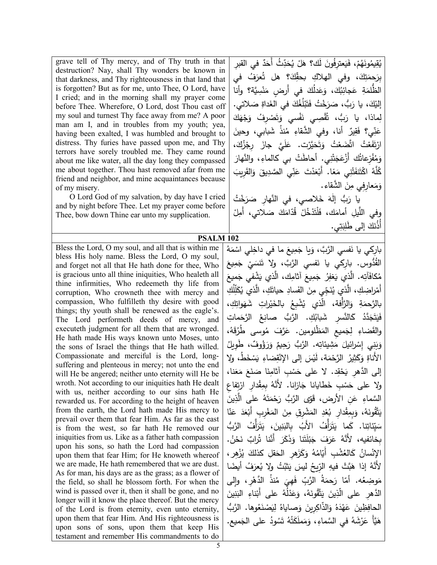grave tell of Thy mercy, and of Thy truth in that destruction? Nay, shall Thy wonders be known in that darkness, and Thy righteousness in that land that is forgotten? But as for me, unto Thee, O Lord, have I cried; and in the morning shall my prayer come before Thee. Wherefore, O Lord, dost Thou cast off my soul and turnest Thy face away from me? A poor man am I, and in troubles from my youth; yea, having been exalted, I was humbled and brought to distress. Thy furies have passed upon me, and Thy terrors have sorely troubled me. They came round about me like water, all the day long they compassed me about together. Thou hast removed afar from me friend and neighbor, and mine acquaintances because of my misery.

 O Lord God of my salvation, by day have I cried and by night before Thee. Let my prayer come before Thee, bow down Thine ear unto my supplication.

**PSALM 102**

Bless the Lord, O my soul, and all that is within me bless His holy name. Bless the Lord, O my soul, and forget not all that He hath done for thee, Who is gracious unto all thine iniquities, Who healeth all thine infirmities, Who redeemeth thy life from corruption, Who crowneth thee with mercy and compassion, Who fulfilleth thy desire with good things; thy youth shall be renewed as the eagle's. The Lord performeth deeds of mercy, and executeth judgment for all them that are wronged. He hath made His ways known unto Moses, unto the sons of Israel the things that He hath willed. Compassionate and merciful is the Lord, longsuffering and plenteous in mercy; not unto the end will He be angered; neither unto eternity will He be wroth. Not according to our iniquities hath He dealt with us, neither according to our sins hath He rewarded us. For according to the height of heaven from the earth, the Lord hath made His mercy to prevail over them that fear Him. As far as the east is from the west, so far hath He removed our iniquities from us. Like as a father hath compassion upon his sons, so hath the Lord had compassion upon them that fear Him; for He knoweth whereof we are made, He hath remembered that we are dust. As for man, his days are as the grass; as a flower of the field, so shall he blossom forth. For when the wind is passed over it, then it shall be gone, and no longer will it know the place thereof. But the mercy of the Lord is from eternity, even unto eternity, upon them that fear Him. And His righteousness is upon sons of sons, upon them that keep His testament and remember His commandments to do

يُقِيمُونَهُمْ، فَيَعترِفُونَ لَك؟ هَلْ يُحَدِّثُ أَحَدٌ في القبرِ بِرَحِمَتِكَ، وفي الهلاكِ بحقِّكَ؟ هل تُعرَفُ في َ الظُّلمَةِ عَجائِبُكَ، وَعَدْلُكَ في أَرضٍ مَنْسِيَّة؟ وأنا ْ َ لاتي. ِ ص َداة َ في الغ ُك ُغ ل َب َت َ ْخ ُت ف َ ر َ ُّب، ص ،َ �ا ر ْك إل� <u>:</u> لِماذا، يا رَبُّ، تُقْصِي نَفْسي وَتَصْرِفُ وَجْهَكَ<br>-ُ ُنذ ِ م ٌ َّ أنا، وفي الشقاء ِیر َق ِي؟ ف ّ ن َ ع َ ش�ابي، وحین َ ارْتَفَعْتُ اتَّضَعْتُ وَتَحَيَّرْت. عَلَيَّ جازَ رِجْزُكَ،<br>مسلسلة .<br>ا وَمُفْزِعاتُك أَزْعَجَتْنِي. أحاطَتْ بي كالماءِ، والنَّهارَ<br>' ُ كُلَّهُ اكْتَنفَتْنِي مَعًا. أَبْعَدْتَ عَنِّي الصَّدِيقَ وَالقَرِيبَ وَمَعارِفِي مِنَ الشَّقاء.<br>ـ يا رَبُّ إِلٰهَ خَلاصي، في النَّهارِ صَرَخْتُ<br>ءً ْ وفي اللَّيلِ أمامَك، فَلْتَدْخُلْ قُدّامَكَ صَلاتي، أُمِلْ<br>وُ أُذُنَكَ إِلَى طَٰلِبَتِي.

بارِكي يا نَفسي الرَّبَّ، وَيا جَمِيعَ ما في داخِلي اسْمَهُ<br>مُم القُّدُوس. بارِكي يا نَفسي الرَّبَّ، ولا تَنسَيْ جَمِيعَ<br>مصنة مُكافَأتِه. الَّذِي يَغفِرُ جَمِيعَ آثامِك، الَّذي يَشْفي جَميعَ<br>مَ أَمْراضِكِ، الَّذي يُنَجِّي مِنَ الفَسادِ حياتَكِ، الَّذي يُكَلِّلُكِ بالرَّحمَةِ وَالرَّأْفة، الَّذي يُشْبِعُ بالخَيْراتِ شَهَواتِكِ،<br>ِ فَيَتَجَدَّدُ كَالنَّسرِ شَبابُكِ. الرَّبُ صانِعُ الرَّجَماتِ<br>. َ .<br>ا والقَضاءِ لِجَميعِ المَظْلومين. عَرَّفَ مُوسى طُرُقَهُ، رَحِيمٌ وَرَؤُوفٌ، طَوِيلُ وَبَنِي إِسْرائيلَ مَشِيئاتِه. الرَّبُّ رَدِ<br>-َ َ الأَناةِ وَكَثِيرُ الرَّحْمَة، لَيْسَ إلى الإِنْقِضاءِ يَسْخَطُ، ولا إلى الدَّهرِ يَحْقِد. لا على حَسْبِ أثامِنَا صَنَعَ مَعَنا،<br>أ ولا على حَسْبِ خَطايانا جَازانا. لأَنَّهُ بِمِقْدارِ ارْتِفاعِ .<br>ا السَّماءِ عَنِ الأرض، قَوَّى الرَّبُّ رَحْمَتَهُ على الَّذِينَ<br>سَّمْسِ عَنِ الأرض، قَوَّى الرَّبُّ رَحْمَتَهُ على الَّذِينَ ِ َ ْشِرِق م ِ الم ْد ُع ْ ِدار � ِق ِم � َ ،ُ و َه ُون َّق ت ّ ی ا َ ن َ َ ع َد ْع ْ ِرِب أَ� َغ َ الم ن سَيِّئاتِنا. كَما يَتَرَأَّفُ الأَبُ بِالبَنِينَ، يَتَرَأَّفُ الرَّبُّ َ بِخائفيه، لأَنَّهُ عَرَفَ جَبْلُتَنا وَذَكَرَ أَنَّنا تُرابٌ نَحْنُ.<br>. .<br>. الإِنْسانُ كَالعُشْبِ أَيّامُهُ وَكَزَهرِ الْحَقْلِ كَذَلَكَ يُزْهِرِ ،<br>\* لأَنَّهُ إذا هَبَّتْ فيهِ الرِّيحُ ليسَ يَثْبُتُ ولا يُعرَفُ أيضًا مَوضِعُه. أمّا رَحمَةُ الرَّبِّ فَهِيَ مُنذُ الدَّهْرِ، وإلى<br>" <u>ا</u> الدَّهرِ على الَّذِينَ يَتَّقُونَهُ، وَعَدْلُهُ على أَبْناءِ البَنِينَ الحافِظِينَ عَهْدَهُ وَالذَّاكِرِينَ وَصاياهُ لِيَصْنَعُوها. الرَّبُّ<br>الْجَمَعِينَ عَهْدَهُ وَالذَّاكِرِينَ هَيَّأَ عَرْشَهُ في السَّماءِ، وَمَملَكَتُهُ تَسُودُ على الجَميع.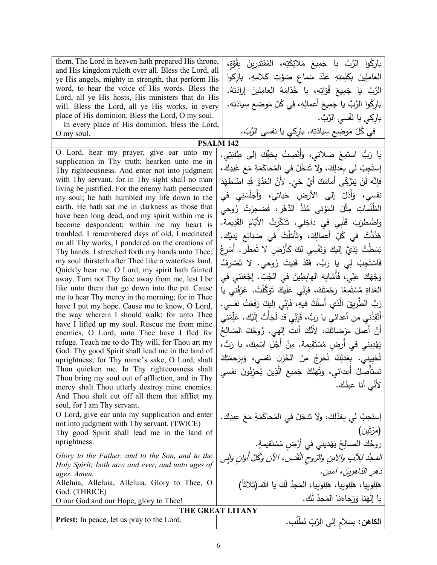| them. The Lord in heaven hath prepared His throne,<br>and His kingdom ruleth over all. Bless the Lord, all<br>ye His angels, mighty in strength, that perform His<br>word, to hear the voice of His words. Bless the<br>Lord, all ye His hosts, His ministers that do His<br>will. Bless the Lord, all ye His works, in every<br>place of His dominion. Bless the Lord, O my soul.<br>In every place of His dominion, bless the Lord,<br>O my soul.<br>O Lord, hear my prayer, give ear unto my<br>supplication in Thy truth; hearken unto me in<br>Thy righteousness. And enter not into judgment<br>with Thy servant, for in Thy sight shall no man<br>living be justified. For the enemy hath persecuted<br>my soul; he hath humbled my life down to the<br>earth. He hath sat me in darkness as those that<br>have been long dead, and my spirit within me is<br>become despondent; within me my heart is<br>troubled. I remembered days of old, I meditated<br>on all Thy works, I pondered on the creations of<br>Thy hands. I stretched forth my hands unto Thee;<br>my soul thirsteth after Thee like a waterless land.<br>Quickly hear me, O Lord; my spirit hath fainted<br>away. Turn not Thy face away from me, lest I be<br>like unto them that go down into the pit. Cause<br>me to hear Thy mercy in the morning; for in Thee<br>have I put my hope. Cause me to know, O Lord,<br>the way wherein I should walk; for unto Thee<br>have I lifted up my soul. Rescue me from mine<br>enemies, O Lord; unto Thee have I fled for<br>refuge. Teach me to do Thy will, for Thou art my<br>God. Thy good Spirit shall lead me in the land of<br>uprightness; for Thy name's sake, O Lord, shalt<br>Thou quicken me. In Thy righteousness shalt<br>Thou bring my soul out of affliction, and in Thy | بارِكُوا الرَّبَّ يا جَمِيعَ مَلائِكَتِهِ، المُقتَدِرِينَ بِقُوَّةٍ،<br>العامِلِينَ بِكَلِمَتِهِ عِنْدَ سَماعٍ صَوْتِ كَلامِهِ. بارِكوا<br>الرَّبَّ  يا  جَمِيعَ  قُوّاتِهِ،  يا  خُدّامَهُ  العامِلينَ   إرادَتَهُ.<br>بارِكُوا الرَّبَّ يا جَمِيعَ أَعمالِهِ، في كُلّ مَوضِعٍ سِيادَتِه.<br>باركي يا نَفْسى الرَّبَّ.<br>في كُلِّ مَوضِعٍ سِيادَتِه. بارِكي يا نفسي الرَّبّ.<br><b>PSALM 142</b><br>يا رَبُّ استَمِعْ صَلاتي، وَأَنْصِتْ بِحَقِّكَ إِلَى طِلْبَتِي.<br>إِستَجِبْ لي بِعَدلِكَ، ولا تَدخُلْ في المُحاكَمَةِ مَعَ عَبدِك،<br>فإِنَّه لَنْ يَتَزَكَّى أَمامَكَ أَيُّ حَيِّ. لأَنَّ العَدُوَّ قَدِ اضْطَهَدَ<br>نفسي، وَأَذَلَّ إلى الأرض حَياتي، وَأَجلَسَنِي في<br>الظُلُماتِ مِثْلَ المَوْتي مُنْذُ الدَّهْرِ ، فَضَجِرَتْ رُوحي<br>واضْطْرَبَ قَلْبِي في داخِلي. تَذَكَّرتُ الأَيّامَ القَدِيمة.<br>هَذَذْتُ في كُلِّ أَعمالِكَ، وَتَأَمَّلْتُ في صَنائِع يَدَيْك.<br>بَسَطْتُ يَدَيَّ إليكَ وَنَفْسِي لكَ كَأَرْضِ لا تُمطَّر . أَسْرِعْ<br>فَاسْتَجِبْ لِي يا رَبُّ، فَقَدْ فَنِيَتْ رُوحي. لا تَصْرفْ<br>وَجْهَكَ عَنِّي، فَأَشابِهَ الهابِطِينَ في الْجُبِّ. إِجْعَلني في<br>الغَداةِ مُسْتَمِعًا رَحْمَتَكَ، فإنِّي عَلَيكَ تَوَكَّلْتُ. عَرِّفْني يا<br>رَبُّ الطَّرِيقَ الَّذي أَسلُكُ فيهِ، فَإِنِّي إِليكَ رَفَعْتُ نَفسي.<br>أَنْقِذْني من أعدائي يا رَبُّ، فَإِنِّي قد لَجَأْتُ إلَيْك. عَلِّمْنى<br>أَنْ أَعمَلَ مَرْضاتَكَ، لأَنَّكَ أنتَ إلهي. رُوحُكَ الصّالِحُ<br>يَهْدِيني في أرض مُسْتَقِيمة. مِنْ أَجْلِ اسْمِكَ، يا رَبُّ،<br>تُحْيِيني. بِعَدلِكَ تُخرِجُ مِنَ الْحُزنِ نَفسي، وَبِرَحمَتِكَ<br>تَستَأْصِلُ أَعدائي، وَتُهلِكُ جَمِيعَ الَّذِينَ يُحزِنُونَ نفسي |
|-------------------------------------------------------------------------------------------------------------------------------------------------------------------------------------------------------------------------------------------------------------------------------------------------------------------------------------------------------------------------------------------------------------------------------------------------------------------------------------------------------------------------------------------------------------------------------------------------------------------------------------------------------------------------------------------------------------------------------------------------------------------------------------------------------------------------------------------------------------------------------------------------------------------------------------------------------------------------------------------------------------------------------------------------------------------------------------------------------------------------------------------------------------------------------------------------------------------------------------------------------------------------------------------------------------------------------------------------------------------------------------------------------------------------------------------------------------------------------------------------------------------------------------------------------------------------------------------------------------------------------------------------------------------------------------------------------------------------------------------------------------------------------------------------------------|---------------------------------------------------------------------------------------------------------------------------------------------------------------------------------------------------------------------------------------------------------------------------------------------------------------------------------------------------------------------------------------------------------------------------------------------------------------------------------------------------------------------------------------------------------------------------------------------------------------------------------------------------------------------------------------------------------------------------------------------------------------------------------------------------------------------------------------------------------------------------------------------------------------------------------------------------------------------------------------------------------------------------------------------------------------------------------------------------------------------------------------------------------------------------------------------------------------------------------------------------------------------------------------------------------------------------------------------------------------------------------------------------------------------------------------------------------------------------------------------------------------------------------------------------------------------------------------------------------|
| mercy shalt Thou utterly destroy mine enemies.<br>And Thou shalt cut off all them that afflict my<br>soul, for I am Thy servant.                                                                                                                                                                                                                                                                                                                                                                                                                                                                                                                                                                                                                                                                                                                                                                                                                                                                                                                                                                                                                                                                                                                                                                                                                                                                                                                                                                                                                                                                                                                                                                                                                                                                            | لأنَّى أنا عبدُك.                                                                                                                                                                                                                                                                                                                                                                                                                                                                                                                                                                                                                                                                                                                                                                                                                                                                                                                                                                                                                                                                                                                                                                                                                                                                                                                                                                                                                                                                                                                                                                                       |
| O Lord, give ear unto my supplication and enter<br>not into judgment with Thy servant. (TWICE)<br>Thy good Spirit shall lead me in the land of<br>uprightness.                                                                                                                                                                                                                                                                                                                                                                                                                                                                                                                                                                                                                                                                                                                                                                                                                                                                                                                                                                                                                                                                                                                                                                                                                                                                                                                                                                                                                                                                                                                                                                                                                                              | إستجبْ لي بِعَدْلِكَ، ولا تدخلْ في الْمُحاكَمَةِ مَعَ عبدِكَ.<br>(مرّتَين)<br>روحُكَ الصالِحُ يَهْديني في أَرْضِ مُسْتَقيمةٍ.                                                                                                                                                                                                                                                                                                                                                                                                                                                                                                                                                                                                                                                                                                                                                                                                                                                                                                                                                                                                                                                                                                                                                                                                                                                                                                                                                                                                                                                                           |
| Glory to the Father, and to the Son, and to the<br>Holy Spirit; both now and ever, and unto ages of<br>ages. Amen.<br>Alleluia, Alleluia, Alleluia. Glory to Thee, O<br>God. (THRICE)                                                                                                                                                                                                                                                                                                                                                                                                                                                                                                                                                                                                                                                                                                                                                                                                                                                                                                                                                                                                                                                                                                                                                                                                                                                                                                                                                                                                                                                                                                                                                                                                                       | المَجْدُ لِلِآبِ والِابنِ والتروحِ الْقُدُسِ، الآنَ وَكُلَّ أُوانٍ وَإِلِي<br>دَهرِ الدّاهِرِينَ، آمين.<br>هَلِلوبِيا، هَلِلوبِيا، هَلِلوبِيا، المَجدُ لَكَ يا الله.(ثلاثاً)                                                                                                                                                                                                                                                                                                                                                                                                                                                                                                                                                                                                                                                                                                                                                                                                                                                                                                                                                                                                                                                                                                                                                                                                                                                                                                                                                                                                                            |
| O our God and our Hope, glory to Thee!                                                                                                                                                                                                                                                                                                                                                                                                                                                                                                                                                                                                                                                                                                                                                                                                                                                                                                                                                                                                                                                                                                                                                                                                                                                                                                                                                                                                                                                                                                                                                                                                                                                                                                                                                                      | يا إِلْهَنا وَرَجاءَنا الْمَجِدُ لَكَ.                                                                                                                                                                                                                                                                                                                                                                                                                                                                                                                                                                                                                                                                                                                                                                                                                                                                                                                                                                                                                                                                                                                                                                                                                                                                                                                                                                                                                                                                                                                                                                  |
| <b>Priest:</b> In peace, let us pray to the Lord.                                                                                                                                                                                                                                                                                                                                                                                                                                                                                                                                                                                                                                                                                                                                                                                                                                                                                                                                                                                                                                                                                                                                                                                                                                                                                                                                                                                                                                                                                                                                                                                                                                                                                                                                                           | THE GREAT LITANY                                                                                                                                                                                                                                                                                                                                                                                                                                                                                                                                                                                                                                                                                                                                                                                                                                                                                                                                                                                                                                                                                                                                                                                                                                                                                                                                                                                                                                                                                                                                                                                        |
|                                                                                                                                                                                                                                                                                                                                                                                                                                                                                                                                                                                                                                                                                                                                                                                                                                                                                                                                                                                                                                                                                                                                                                                                                                                                                                                                                                                                                                                                                                                                                                                                                                                                                                                                                                                                             | ا <b>لكاهن:</b> بِسَلام إلى الرَّبِّ نَطْلُب.                                                                                                                                                                                                                                                                                                                                                                                                                                                                                                                                                                                                                                                                                                                                                                                                                                                                                                                                                                                                                                                                                                                                                                                                                                                                                                                                                                                                                                                                                                                                                           |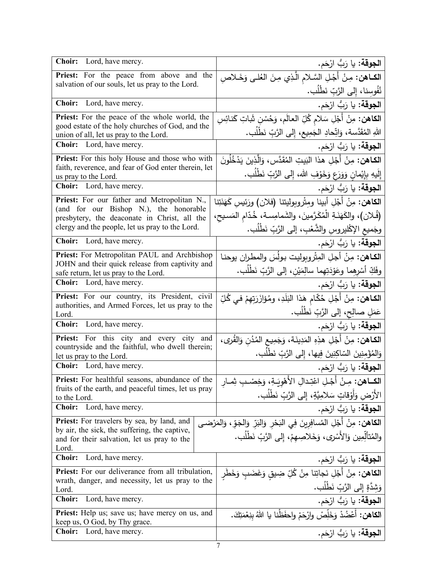| Choir: Lord, have mercy.                                                                              | ا <b>لجوقة:</b> يا رَبُّ ارْحَم.                                                            |
|-------------------------------------------------------------------------------------------------------|---------------------------------------------------------------------------------------------|
| <b>Priest:</b> For the peace from above and the                                                       | الكاهن: مِنْ أَجْلِ السَّلام الَّذِي مِنَ العَٰلَى وَخَـلاصِ                                |
| salvation of our souls, let us pray to the Lord.                                                      | نُفُوسِنا، إِلى الرَّبِّ نَطْلُب.                                                           |
| Choir: Lord, have mercy.                                                                              | ا <b>لجوقة:</b> يا رَبُّ ارْحَم.                                                            |
| Priest: For the peace of the whole world, the                                                         | <b>الكاهن:</b> مِنْ أَجْلِ سَلام كُلِّ العالَم، وَحُسْنِ شَاتِ كَنائِسِ                     |
| good estate of the holy churches of God, and the<br>union of all, let us pray to the Lord.            | اللهِ المُقَدَّسة، وَاتِّحادِ الجَمِيعِ، إِلى الرَّبِّ نَطِّلُبٍ.                           |
| <b>Choir:</b> Lord, have mercy.                                                                       | ا <b>لجوقة</b> : يا رَبُّ ارْحَم.                                                           |
| Priest: For this holy House and those who with                                                        | <b>الكـاهن:</b> مِنْ أَجْلِ هذا البَيتِ المُقَدَّس، وَالَّذِينَ يَدْخُلُونَ                 |
| faith, reverence, and fear of God enter therein, let<br>us pray to the Lord.                          | إِلَيهِ بِإِيْمانٍ وَوَرَعٍ وَخَوْفِ الله، إِلى الرَّبِّ نَطْلُبٍ.                          |
| <b>Choir:</b> Lord, have mercy.                                                                       | ا <b>لجوقة:</b> يا رَبُّ ارْحَم.                                                            |
| Priest: For our father and Metropolitan N.,                                                           | <b>الكاهن:</b> مِنْ أَجْلِ أبينا ومِثْروبوليتنا (فلان) ورَئيسِ كَهَنَتِنا                   |
| (and for our Bishop N.), the honorable<br>presbytery, the deaconate in Christ, all the                | (فُلان)، والكَهَنَـةِ الْمُكَرَّمينَ، والشَمامِسة، خُدّامِ المَسيحِ،                        |
| clergy and the people, let us pray to the Lord.                                                       | وجَميعِ الإكْليروسِ والشَّعْبِ، إلى الرَّبِّ نَطْلُبٍ.                                      |
| <b>Choir:</b> Lord, have mercy.                                                                       | ا <b>لجوقة:</b> يا رَبُّ ارْحَم.                                                            |
| Priest: For Metropolitan PAUL and Archbishop                                                          | ا <b>لكـاهن:</b> مِنْ أجلِ المِثْروِبوليت بولُسَ والمطران يوحنـا                            |
| JOHN and their quick release from captivity and<br>safe return, let us pray to the Lord.              | وفَكِّ أَسْرِهما وعَوْدَتِهما سالِمَيْنِ، إلىي الرَّبِّ نَطْلُبٍ.                           |
| <b>Choir:</b> Lord, have mercy.                                                                       | ا <b>لجوقة:</b> يا رَبُّ ارْحَم.                                                            |
| Priest: For our country, its President, civil                                                         | ا <b>لكـاهن:</b> مِنْ أَجْلِ حُكّام هَذا البَلَدِ، ومُؤازَرَتِهِمْ فـى كُلِّ                |
| authorities, and Armed Forces, let us pray to the<br>Lord.                                            | عَمَلِ صالِحٍ، إلى الرَّبِّ نَطْلُبٍ.                                                       |
| Choir: Lord, have mercy.                                                                              | ا <b>لجوقة:</b> يا رَبُّ ارْحَم.                                                            |
| Priest: For this city and every city and                                                              | ا <b>لكـاهن:</b> مِنْ أَجْلِ هذِهِ المَدِينَة، وَجَمِيعِ المُدُنِ وَالقُرى،                 |
| countryside and the faithful, who dwell therein;<br>let us pray to the Lord.                          | وَالِمُؤْمِنِينَ السّاكِنِينَ فِيها، إِلَى الرَّبِّ نَطْلُب.                                |
| <b>Choir:</b> Lord, have mercy.                                                                       | ا <b>لجوقة:</b> يا رَبُّ ارْحَم.                                                            |
| <b>Priest:</b> For healthful seasons, abundance of the                                                | ا <b>لكـــاهن:</b> مِـنْ أَجْـلِ اعْتِـدالِ الأَهْوِيَـةِ، وَخِصْـب ثِمــار                 |
| fruits of the earth, and peaceful times, let us pray<br>to the Lord.                                  | الأَرْض وَأَوْقَاتٍ سَلامِيَّةٍ، إِلَى الرَّبِّ نَطْلَبٍ.                                   |
| <b>Choir:</b> Lord, have mercy.                                                                       | ا <b>لجوقة:</b> يا رَبُّ ارْحَم.                                                            |
| <b>Priest:</b> For travelers by sea, by land, and                                                     | ا <b>لكاهن:</b> مِنْ أَجْلِ الْمُسافِرِينَ فِي البَحْرِ  وَالبَرِّ  وَالجَوِّ ، وَالمَرْضـى |
| by air, the sick, the suffering, the captive,<br>and for their salvation, let us pray to the          | والمُتألِّمِين وَالأَسْرِي، وَخَلاصِهِمْ، إلى الرَّبِّ نَطْلُبٍ.                            |
| Lord.                                                                                                 |                                                                                             |
| Lord, have mercy.<br><b>Choir:</b>                                                                    | ا <b>لجوقة:</b> يا رَبُّ ارْحَم.                                                            |
| Priest: For our deliverance from all tribulation,<br>wrath, danger, and necessity, let us pray to the | ا <b>لكاهن:</b> مِنْ أَجْلِ نَجاتِنا مِنْ كُلِّ ضِيقٍ وَغَضَبٍ وَخَطْر                      |
| Lord.                                                                                                 | وَشِدَّةٍ إِلى الرَّبِّ نَطْلُب.                                                            |
| Lord, have mercy.<br><b>Choir:</b>                                                                    | ا <b>لجوقة:</b> يا رَبُّ ارْحَم.                                                            |
| Priest: Help us; save us; have mercy on us, and<br>keep us, O God, by Thy grace.                      | ا <b>لكاهن:</b> أَعْضُدْ وَخَلِّصْ وارْحَمْ واحفَظْنا يا اللهُ بِنِعْمَتِكَ.                |
| Lord, have mercy.<br><b>Choir:</b>                                                                    | ا <b>لجوقة:</b> يا رَبُّ ارْحَم.                                                            |
|                                                                                                       | 7                                                                                           |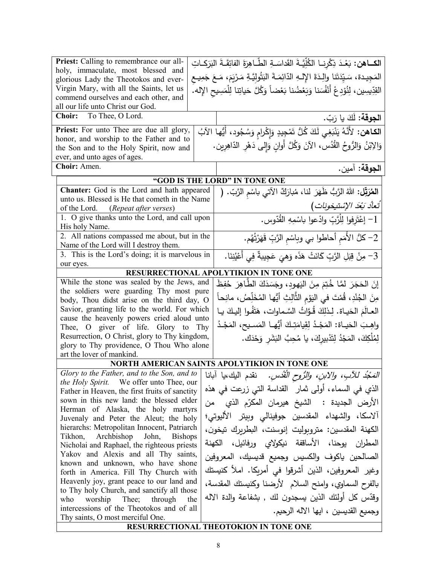| Priest: Calling to remembrance our all-                                                     | الكــاهن: بَعْـدَ ذِكْرِنــا الكُلِّيَّـةَ القَداسَـةِ الطَّـاهِرَةَ الفائِقَــةَ البَرَكــاتِ                     |
|---------------------------------------------------------------------------------------------|--------------------------------------------------------------------------------------------------------------------|
| holy, immaculate, most blessed and                                                          | المَجِيدة، سَيِّدَتَنا والِدَةَ الإِلـهِ الدّائِمَـةَ البَتُولِيَّـةِ مَـرْيَمَ، مَـعَ جَمِيـع                     |
| glorious Lady the Theotokos and ever-                                                       |                                                                                                                    |
| Virgin Mary, with all the Saints, let us                                                    | القِدِّيسِين، لِنُوْدِعْ أَنْفُسَنا وَبَعْضُنا بَعْضاً وَكُلَّ حَياتِنا لِلْمَسِيحِ الإِله.                        |
| commend ourselves and each other, and<br>all our life unto Christ our God.                  |                                                                                                                    |
| Choir: To Thee, O Lord.                                                                     |                                                                                                                    |
|                                                                                             | ا <b>لجوقة:</b> لَكَ يا رَبّ.                                                                                      |
| Priest: For unto Thee are due all glory,                                                    | ا <b>لكاهن:</b> لأَنَّهُ يَنْبَغِي لَكَ كُلُّ تَمْجِيدٍ وَإِكْرامِ وَسُجُودِ، أَيُّها الآبُ                        |
| honor, and worship to the Father and to                                                     | وَالِابْنُ وَالرُّوحُ القُدُس، الآنَ وَكُلَّ أَوانٍ وَإِلَى دَهْرِ الدّاهِرِين.                                    |
| the Son and to the Holy Spirit, now and                                                     |                                                                                                                    |
| ever, and unto ages of ages.                                                                |                                                                                                                    |
| Choir: Amen.                                                                                | ا <b>لجوقة:</b> آمين.                                                                                              |
|                                                                                             | "GOD IS THE LORD" IN TONE ONE                                                                                      |
| Chanter: God is the Lord and hath appeared                                                  | المعُرَقِّل: اللهُ الرَّبُّ ظَهَرَ لنا، مُبارَكٌ الآتي باسْم الرَّبِّ. (                                           |
| unto us. Blessed is He that cometh in the Name                                              |                                                                                                                    |
| of the Lord. (Repeat after verses)                                                          | تَعاْدُ بَعْدَ الإسْتيخونات)                                                                                       |
| 1. O give thanks unto the Lord, and call upon                                               | 1– إعْتَرفوا لِلْرَّبِّ وادْعوا باسْمِهِ القُدّوس.                                                                 |
| His holy Name.                                                                              |                                                                                                                    |
| 2. All nations compassed me about, but in the                                               | 2– كلُّ الأمَم أحاطوا بي وباسْم الرَّبِّ قَهَرْتُهُم.                                                              |
| Name of the Lord will I destroy them.                                                       |                                                                                                                    |
| 3. This is the Lord's doing; it is marvelous in                                             | 3– مِنْ قِبَلِ الرَّبِّ كَانَتْ هَذَه وَهِيَ عَجِيبةٌ فِي أَعْيُنِنَا.                                             |
| our eyes.                                                                                   |                                                                                                                    |
|                                                                                             | RESURRECTIONAL APOLYTIKION IN TONE ONE                                                                             |
| While the stone was sealed by the Jews, and                                                 | إِنَ الْحَجَرَ لَمَّا خُتِمَ مِنَ اليَهودِ، وجَسَدَكَ الطَّاهِرَ حُفِظَ                                            |
| the soldiers were guarding Thy most pure                                                    | مِنَ الجُنْدِ، قُمْتَ في اليَوْمِ الثَّالِثِ أَيُّها المُخَلِّصُ، مانِحاً                                          |
| body, Thou didst arise on the third day, O<br>Savior, granting life to the world. For which |                                                                                                                    |
| cause the heavenly powers cried aloud unto                                                  | العـالَمَ الحَيـاة. لِـذلِكَ قُـوَّاتُ السَّـماوات، هَتَفُـوا إليـكَ يـا                                           |
| Thee, O giver of life. Glory to Thy                                                         | واهِـبَ الحَيــاة: المَجْـدُ لِقِيامَتِـكَ أَيُّهــا المَســيح، المَجْـدُ                                          |
| Resurrection, O Christ, glory to Thy kingdom,                                               | لِمُلْكِكَ، المَجْدُ لِتَدْبِيرِكَ، يا مُحِبَّ البَشَرِ وَحْدَك.                                                   |
| glory to Thy providence, O Thou Who alone                                                   |                                                                                                                    |
| art the lover of mankind.                                                                   |                                                                                                                    |
|                                                                                             | NORTH AMERICAN SAINTS APOLYTIKION IN TONE ONE                                                                      |
|                                                                                             | الْمَعْبُدُ للآبِ، وإلابنِ، والرُّوحِ الْقُدْسِ. فقدم البيك،يا آبانا   Glory to the Father, and to the Son, and to |
| the Holy Spirit. We offer unto Thee, our                                                    |                                                                                                                    |
| Father in Heaven, the first fruits of sanctity                                              | الذي في السماء، أولى ثمار   القداسة التي زرعت في هذه                                                               |
| sown in this new land: the blessed elder                                                    | الأرض الجديدة :  الشيخ هيرمان المكرّم الذي  من                                                                     |
| Herman of Alaska, the holy martyrs                                                          | آلاسكا، والشهداء المقدسين جوفينالي وبيتر الأليوتي؛                                                                 |
| Juvenaly and Peter the Aleut; the holy                                                      |                                                                                                                    |
| hierarchs: Metropolitan Innocent, Patriarch                                                 | الكهنة المقدسين: متروبوليت إنوسنت، البطريرك تيخون،                                                                 |
| Tikhon,<br>Archbishop John,<br><b>Bishops</b>                                               | المطران يوحنا، الأساقفة نيكولاي ورفائيل، الكهنة                                                                    |
| Nicholai and Raphael, the righteous priests<br>Yakov and Alexis and all Thy saints,         |                                                                                                                    |
| known and unknown, who have shone                                                           | الصالحين ياكوف والكسيس وجميع قديسيك، المعروفين                                                                     |
| forth in America. Fill Thy Church with                                                      | وغير المعروفين، الذين أشرقوا في أمريكا. املأ كنيستك                                                                |
| Heavenly joy, grant peace to our land and                                                   | بالفرح السماوي، وامنح السلام الأرضنا وكنيستك المقدسة،                                                              |
| to Thy holy Church, and sanctify all those                                                  |                                                                                                                    |
| who<br>worship Thee; through the                                                            | وقدّس كل أولئك الذين يسجدون لك , بشفاعة والدة الاله                                                                |
| intercessions of the Theotokos and of all                                                   | وجميع القديسين ، ايها الاله الرحيم.                                                                                |
| Thy saints, O most merciful One.                                                            |                                                                                                                    |
| RESURRECTIONAL THEOTOKION IN TONE ONE                                                       |                                                                                                                    |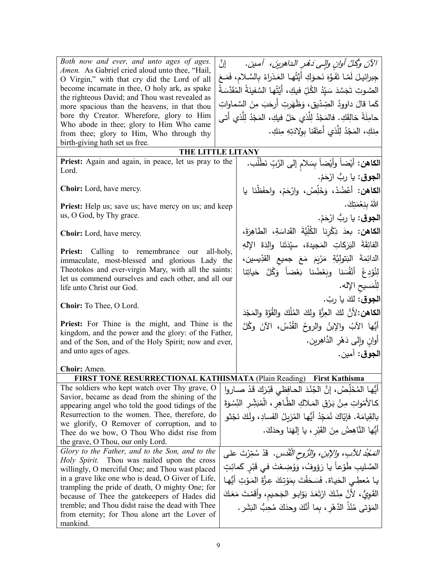*Both now and ever, and unto ages of ages. Amen.* As Gabriel cried aloud unto thee, "Hail, O Virgin," with that cry did the Lord of all become incarnate in thee, O holy ark, as spake the righteous David; and Thou wast revealed as more spacious than the heavens, in that thou bore thy Creator. Wherefore, glory to Him Who abode in thee; glory to Him Who came from thee; glory to Him, Who through thy birth-giving hath set us free.

الآنَ وكُكِّ أوانٍ والٍ*ّى دَهْرِ* الداهرِينَ، آمين. إنَّ جِبرائيـلَ لَمّـا تَفَوَّهَ نَحـوَكِ أَيَّتُهـا العَـذراءُ بِالسَّـلامِ، فَمَـعَ<br>مسلمات الله الصَّـوتِ تَجَسَّدَ سَيِّدُ الكُلِّ فيكِ، أَيَّتُها السَّفينَةُ المُقَدَّسَةُ<br>ِ بِ <del>قيل</del>ِّ) اينها السعينة الم<br>م كَما قالَ داوودُ الصِّدّيقِ، وَظَهَرتِ أَرحَبَ مِنَ السَّماواتِ<br>حَمَّا قَالَ حامِلَةً خالِقَكِ. فالمَجْدُ لِلَّذي حَلَّ فيكِ، المَجْدُ لِلَّذي أَتى<br>-مِنكِ، المَجْدُ لِلَّذي أَعتَقَنا بِوِلِادَتِهِ مِنكِ.<br>-

**THE LITTLE LITANY** Priest: Again and again, in peace, let us pray to the Lord. **Choir:** Lord, have mercy. **Priest:** Help us; save us; have mercy on us; and keep us, O God, by Thy grace. **Choir:** Lord, have mercy. Priest: Calling to remembrance our all-holy, immaculate, most-blessed and glorious Lady the Theotokos and ever-virgin Mary, with all the saints: let us commend ourselves and each other, and all our life unto Christ our God. **Choir:** To Thee, O Lord. **Priest:** For Thine is the might, and Thine is the kingdom, and the power and the glory: of the Father, and of the Son, and of the Holy Spirit; now and ever, and unto ages of ages. **Choir:** Amen. **الكاهن:** أيْضاً وأيْضاً بِسَلامٍ إلى الرَّبِّ نَطْلُب.<br>-ا**لجوق**: يا ربُّ ارْحَمْ.<br>مُسْمَدُ **الكاهن:** أعْضُدْ، وَخَلِّصْ، وارْحَمْ، واحفَظْنا يا اللهُ بِن<mark>ِعْ</mark>مَتِك<mark>َ.</mark> ا**لجوق**: يا ربُّ ارْحَمْ. **الكاهن: بع**دَ ذِكْرِنا الكُلِّيَّةَ القَداسَةِ، الطاهِرَةَ،<br>. الفائِقَةَ البَرَكاتِ المَجيدة، سيِّدَتَنا والِدَةَ الإِلهِ الدائِمَةَ البَتولِيَّةِ مَرْيَمَ مَعَ جميعِ القدِّيسين،<br>. .<br>ا لِنُوْدِعْ أَنْفُسَنا وبَعْضُنا بَعْضاً وَكُلَّ حَياتِنا ْ لِلْمَسيحِ الإِله. ا**لجوق**: لكَ يا ربّ. **الكاهن:**لأنَّ لكَ العِزَّةَ ولكَ المُلْكَ والقُوَّةَ والمَجْدَ<br>م أَيُّها الآبُ والإبنُ والروحُ القُدُسُ، الآنَ وكَّلَّ<br>ُ أوانٍ وإِل<sub>ّٰ</sub>ى دَهْرِ الدَّاهِرين. <u>ٔ</u> **الجوق**: آمین. **FIRST TONE RESURRECTIONAL KATHISMATA** (Plain Reading) **First Kathisma** The soldiers who kept watch over Thy grave, O Savior, became as dead from the shining of the appearing angel who told the good tidings of the Resurrection to the women. Thee, therefore, do we glorify, O Remover of corruption, and to Thee do we bow, O Thou Who didst rise from the grave, O Thou, our only Lord. بُنْدَ الحافِظِي قَبْرَكَ قَدْ صاروا أيُّهـا المُخَلِّصُ، إنَّ الجُّ<br>-كـالأمْواتِ مِنْ بَرْقِ المَـلاكِ الظَّـاهِرِ ، الْمُبَشِّرِ النِّسْوَةَ<br>. ىبب*ىر* سىسو بالقِيامَة. فإيّاكَ نُمَجِّدُ أيُّها المُزيلُ الفَسادِ، ولَكَ نَجْثو<br>أ أَيُّها النَّاهِضُ مِنَ القَبْرِ ، يا إل<sub>َّ</sub>هَنا وحدَكَ.<br>-ْ *Glory to the Father, and to the Son, and to the Holy Spirit.* Thou was nailed upon the cross willingly, O merciful One; and Thou wast placed in a grave like one who is dead, O Giver of Life, trampling the pride of death, O mighty One; for because of Thee the gatekeepers of Hades did tremble; and Thou didst raise the dead with Thee from eternity; for Thou alone art the Lover of mankind. المَجُد للآبِ، والإبنِ، والرُوحِ الْقُدسِ. قَدْ سُمِّرْتَ على ِ ٍ ـت َمائ ٍ ـر � َب ْ َت فـي ق ِضـع ُ َ و ؤوف، و ُ َ ً �ـا ر ْعـا َّ الص ِ ـلیب َ طو .<br>. ِت ُّ أی َــو َ الم َ ِ ع َّ ــزة ِتــك َو ْ َت ِ �م ق َ َ ــح َس َ�ــاة. ف �ــا م هــا ُ ِعطــي الح ْ ْ القَوِيُّ، لأنَّ مِنْكَ ارْتَعَدَ بَوّابـو الجَحيمِ، وأقَمْتَ مَعَكَ<br>. .<br>ا المَوْتـى مُنْذُ الدَّهْرِ ، بِما أنَّكَ وحدَكَ مُحِبُّ النَشَر . <u>ٰ</u>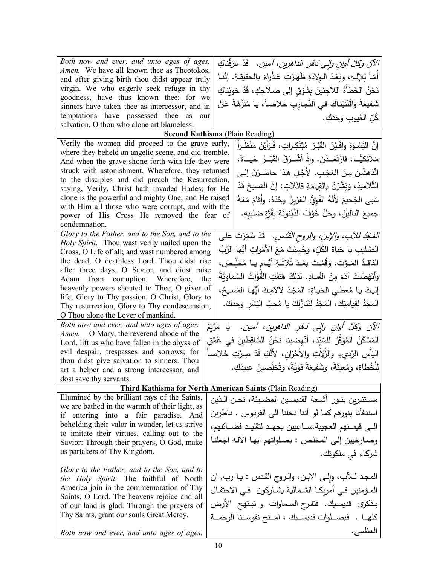| Both now and ever, and unto ages of ages.                                                                  | الآنَ وكلَّ أوانِ وإلى دَمُرِ الداهرِينِ، آمين.   قَدْ عَرَفْناكِ           |
|------------------------------------------------------------------------------------------------------------|-----------------------------------------------------------------------------|
| Amen. We have all known thee as Theotokos,                                                                 | أَمّاً لِلإِلْـهِ، وبَعْدَ الـوِلادَةِ ظَهَرْتِ عَذْراءَ بالحقيقةِ. إنَّنـا |
| and after giving birth thou didst appear truly                                                             |                                                                             |
| virgin. We who eagerly seek refuge in thy<br>goodness, have thus known thee; for we                        | نَحْنُ الخَطَأَةُ اللاجِئينَ بِشَوْقِ إلى صَلاحِكِ، قَدْ حَوَيْناكِ         |
| sinners have taken thee as intercessor, and in                                                             | شَفيعَةً واقْتَنَيْناكِ في التَّجارِبِ خَلاصاً، يا مُنَزَّهَةً عَنْ         |
| temptations have possessed thee as<br>our                                                                  | كُلِّ العُيوبِ وَحْدَكِ.                                                    |
| salvation, O thou who alone art blameless.                                                                 |                                                                             |
|                                                                                                            | <b>Second Kathisma</b> (Plain Reading)                                      |
| Verily the women did proceed to the grave early,                                                           | إِنَّ النِّسْوَةَ وافَـيْنَ القَبْـرَ مُبْتَكِـراتٍ، فَـرَأَيْنَ مَنْظَـراً |
| where they beheld an angelic scene, and did tremble.<br>And when the grave shone forth with life they were | مَلائِكيًّــا، فارْتَعَــدْنَ. وإِذْ أَشْــرَقَ القَبْــرُ حَيـــاةً،       |
| struck with astonishment. Wherefore, they returned                                                         | انْدَهَشْنَ مِنَ العَجَبِ. لأَجْلِ هَذا حاضَرْنَ إلى                        |
| to the disciples and did preach the Resurrection,                                                          |                                                                             |
| saying, Verily, Christ hath invaded Hades; for He                                                          | التَّلاميذِ، وَبَشَّرْنَ بِالقِيامَةِ قائَلاتٍ: إنَّ المَسيحَ قَدْ          |
| alone is the powerful and mighty One; and He raised<br>with Him all those who were corrupt, and with the   | سَبِي الجَحيمَ لأنَّهُ القَوِيُّ العَزِيزُ وحْدَهُ، وأقامَ مَعَهُ           |
| power of His Cross He removed the fear of                                                                  | جميعَ البالينَ، وحَلَّ خَوْفَ الدَّيْنونَةِ بِقُوَّةٍ صَليبِهِ.             |
| condemnation.                                                                                              |                                                                             |
| Glory to the Father, and to the Son, and to the                                                            | المَجْدُ للآبِ، والإبنِ، والروحِ الْقُدُسِ. ۖ قَدْ سُمِّرْتَ على            |
| Holy Spirit. Thou wast verily nailed upon the                                                              |                                                                             |
| Cross, O Life of all; and wast numbered among                                                              | الصَّليبِ يا حَياةَ الكُلِّ، وحُسِبْتَ مَعَ الأَمْواتِ أَيُّها الرَّبُّ     |
| the dead, O deathless Lord. Thou didst rise                                                                | الفاقِـدُ المَـوْت، وَقُمْـتَ بَعْـدَ ثَلاثَـةِ أَيَّـام يــا مُخَلِّـصُ،   |
| after three days, O Savior, and didst raise<br>Adam from corruption. Wherefore, the                        | وأَنَهَضْتَ آدَمَ مِنَ الفَسادِ. لذلِكَ هَتَفَتِ الْقُوَّاتُ السَّماويَّةُ  |
| heavenly powers shouted to Thee, O giver of                                                                |                                                                             |
| life; Glory to Thy passion, O Christ, Glory to                                                             | إليكَ يـا مُعطـى الحَيـاةِ: المَجْدُ لآلامِكَ أَيُّهـا المَسـيحُ،           |
| Thy resurrection, Glory to Thy condescension,                                                              | المَجْدُ لِقِيامَتِكَ، المَجْدُ لِتَنازُلِكَ يا مُحِبَّ البَشَرِ وحدَكَ.    |
| O Thou alone the Lover of mankind.                                                                         |                                                                             |
| Both now and ever, and unto ages of ages.                                                                  | الآنَ وكُلَّ أُوانِ وإلى دَهْرِ الدَاهِرِينِ، آمينِ. ۖ يا مَرْيَمُ          |
| Amen. O Mary, the reverend abode of the                                                                    | المَسْكَنُ المُوَقَّرُ للسَّيِّدِ، أَنْهِضينا نَحْنُ السَّاقِطينَ في عُمْق  |
| Lord, lift us who have fallen in the abyss of                                                              |                                                                             |
| evil despair, trespasses and sorrows; for                                                                  | اليَأْسِ الرَّديءِ والزَّلاَّتِ والأَحْزانِ، لأَنَّكِ قَدْ صِرْتِ خَلاصاً   |
| thou didst give salvation to sinners. Thou<br>art a helper and a strong intercessor, and                   | لِلْخُطاةِ، ومُعينَةً، وشَفيعَةً قَويَّةً، وتُخلِّصينَ عبيدَكِ.             |
| dost save thy servants.                                                                                    |                                                                             |
|                                                                                                            | Third Kathisma for North American Saints (Plain Reading)                    |
| Illumined by the brilliant rays of the Saints,                                                             | مستتيرين بنـور أشـعة القديسـين المضـيئة، نـحـن الـذين                       |
| we are bathed in the warmth of their light, as                                                             |                                                                             |
| if entering into a fair paradise. And                                                                      | استدفأنا بنورهم كما لو أننا دخلنا الى الفردوس . ناظربن                      |
| beholding their valor in wonder, let us strive<br>to imitate their virtues, calling out to the             | الى قيمـتهم العجيبة،سـاعيين بجهـد لتقليـد فضـائلهم،                         |
| Savior: Through their prayers, O God, make                                                                 | وصارخيين إلى المخلص : بصلواتهم ايها الآله اجعلنا                            |
| us partakers of Thy Kingdom.                                                                               | شركاء في ملكوتك.                                                            |
|                                                                                                            |                                                                             |
| Glory to the Father, and to the Son, and to                                                                |                                                                             |
| the Holy Spirit: The faithful of North                                                                     | المجد للأب، وإلى الابن، والروح القدس : يا رب, ان                            |
| America join in the commemoration of Thy<br>Saints, O Lord. The heavens rejoice and all                    | المؤمنين فـي أمريكـا الشـمالية يشـاركون  فـي الاحتفـال                      |
| of our land is glad. Through the prayers of                                                                | بذكرى قديسيك. فتفرح السماوات و تبتهج الأرض                                  |
| Thy Saints, grant our souls Great Mercy.                                                                   | كلهـا . فبصــلوات قديسـيك ، امــنح نفوسـنا الرحمــة                         |
| Both now and ever, and unto ages of ages.                                                                  | العظمى.                                                                     |
|                                                                                                            |                                                                             |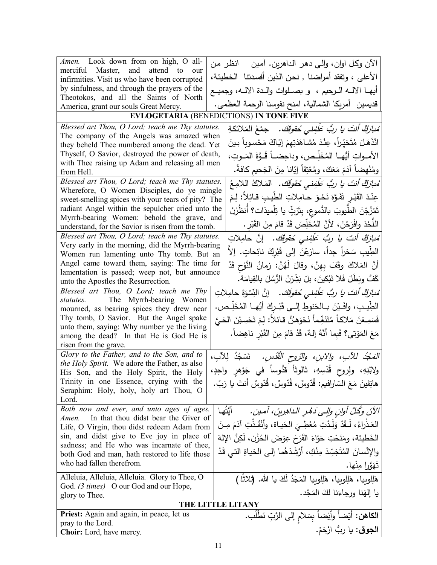| Amen. Look down from on high, O all-                                                                   |  | الآن وكل اوان، والـي دهر الداهرين. أمـين    انظر من                          |
|--------------------------------------------------------------------------------------------------------|--|------------------------------------------------------------------------------|
| merciful Master, and attend to our                                                                     |  |                                                                              |
| infirmities. Visit us who have been corrupted                                                          |  | الأعلى ، وتفقد أمراضنا , نحن الذين أفسدتنا  الخطيئة،                         |
| by sinfulness, and through the prayers of the                                                          |  | أيهــا الالــه الــرحيم ،  و بصــلوات والــدة الالــه، وجميــع               |
| Theotokos, and all the Saints of North                                                                 |  | قديسين  أمريكا الشمالية، امنح نفوسنا الرحمة العظمى.                          |
| America, grant our souls Great Mercy.                                                                  |  |                                                                              |
|                                                                                                        |  | EVLOGETARIA (BENEDICTIONS) IN TONE FIVE                                      |
| Blessed art Thou, O Lord; teach me Thy statutes.                                                       |  | َ <i>مُبازِكٌ أَنتَ يا ربُّ عَلَّفِنى حُقوقَك.</i> جمْعُ المَلائكةِ          |
| The company of the Angels was amazed when<br>they beheld Thee numbered among the dead. Yet             |  | انْذَهَلَ مُتَحَيّراً، عِنْدَ مُشاهَدَتِهِمْ إِيّاكَ مَحْسوباً بينَ          |
| Thyself, O Savior, destroyed the power of death,                                                       |  |                                                                              |
| with Thee raising up Adam and releasing all men                                                        |  | الأمــواتِ أَيُّهــا المُخَلِّـص، وداحِضــاً قُــوَّةَ المَــوتِ،            |
| from Hell.                                                                                             |  | ومُنْهِضاً آدَمَ مَعَكَ، ومُعْتِقاً إيّانا مِنَ الجَحيم كافةً.               |
| Blessed art Thou, O Lord; teach me Thy statutes.                                                       |  | مُ <i>بارَكٌ أنتَ يا ربُّ عَلَّفِنى حُقوقَك.</i> المَلاكُ اللامِعُ           |
| Wherefore, O Women Disciples, do ye mingle                                                             |  |                                                                              |
| sweet-smelling spices with your tears of pity? The                                                     |  | عِنْدَ القَبْرِ تَفَوَّهَ نَحْوَ حامِلاتِ الطَّيبِ قـائِلاً: لِمَ            |
| radiant Angel within the sepulcher cried unto the                                                      |  | تَمْزُجْنَ الطَّيوبَ بالدُّموعِ، بِتَرَبٍّ يا تِلْميذات؟ أنظَرْنَ            |
| Myrrh-bearing Women: behold the grave, and                                                             |  | اللَّحْدَ وافْرَحْنَ، لأَنَّ المُخَلِّصَ قَدْ قامَ مِنَ القَبْرِ .           |
| understand, for the Savior is risen from the tomb.<br>Blessed art Thou, O Lord; teach me Thy statutes. |  |                                                                              |
| Very early in the morning, did the Myrrh-bearing                                                       |  | ُ <i>مْبارَكٌ أَنتَ يا ربُّ عَلَّفِني خُقوقَك.</i> إنَّ حامِلاتِ             |
| Women run lamenting unto Thy tomb. But an                                                              |  | الطِّيبِ سَحَراً جِداً، سارَعْنَ إلى قَبْرِكَ نائِحاتٍ. إلاّ                 |
| Angel came toward them, saying: The time for                                                           |  | أَنَّ الْمَلاكَ وقَفَ بِهِنَّ، وقالَ لَهُنَّ: زمانُ النَّوْحِ قَدْ           |
| lamentation is passed; weep not, but announce                                                          |  |                                                                              |
| unto the Apostles the Resurrection.                                                                    |  | كَفَّ وبَطَّلَ فَلا تَبْكينَ، بلْ بَشِّرْنَ الرُّسُلَ بِالقِيامَة.           |
| Blessed art Thou, O Lord; teach me Thy                                                                 |  | ُ <i>مْبارَكٌ أَنتَ يا ربُّ عَلَّفِنى حُقوقَك.</i> إنَّ النِّسْوَةَ حامِلاتِ |
| statutes. The Myrrh-bearing Women                                                                      |  | الطِّيبِ، وافَـيْنَ بــالحَنوطِ إلــي قَبْـركَ أَيُّهــا المُخَلِّـص.        |
| mourned, as bearing spices they drew near<br>Thy tomb, O Savior. But the Angel spake                   |  |                                                                              |
| unto them, saying: Why number ye the living                                                            |  | فَسَمِعْنَ مَلاكاً مُتَنَغِّماً نَحْوَهنَّ قائلاً: لِمَ تَحْسِبْنَ الحَيَّ   |
| among the dead? In that He is God He is                                                                |  | مَعَ المَوْتي؟ فَبِما أَنَّهُ إِلهٌ، قَدْ قامَ مِنَ القَبْرِ ناهِضاً.        |
| risen from the grave.                                                                                  |  |                                                                              |
| Glory to the Father, and to the Son, and to                                                            |  | الصَجْد للآبِ، والابنِ، والرّوح الْقُدُسِ.   نَسْجُدُ لِلآبِ،                |
| the Holy Spirit. We adore the Father, as also                                                          |  |                                                                              |
| His Son, and the Holy Spirit, the Holy                                                                 |  | ولابْنِهِ، ولِروح قُدْسِهِ، ثالوثاً قدُّوساً في جَوْهرِ واحِدٍ،              |
| Trinity in one Essence, crying with the                                                                |  | ِ هاتِفينَ مَعَ السّارافيم: قُدّوسٌ، قُدّوسٌ، قُدّوسٌ أنتَ يا رَبّ.          |
| Seraphim: Holy, holy, holy art Thou, O                                                                 |  |                                                                              |
| Lord.<br>Both now and ever, and unto ages of ages.                                                     |  |                                                                              |
| In that thou didst bear the Giver of<br>Amen.                                                          |  | أَيَّتُها<br>الآنَ وكُلِّ أُوانٍ وإِلَى دَهْرِ الداهِرِينَ، آمين.            |
| Life, O Virgin, thou didst redeem Adam from                                                            |  | العَذْراءُ، لَـقَدْ وَلَدْتِ مُعْطِـيَ الحَياة، وأَنْقَذْتِ آدَمَ مِـنَ      |
| sin, and didst give to Eve joy in place of                                                             |  | الخَطيئة، ومَنَحْتِ حَوّاءَ الفَرَحَ عِوَضَ الحُزْنِ، لَكِنَّ الإِلهَ        |
| sadness; and He who was incarnate of thee,                                                             |  |                                                                              |
| both God and man, hath restored to life those                                                          |  | والإِنْسانَ المُتَجَسِّدَ مِنْكِ، أَرْشَدَهُما إِلَى الْحَياةِ التي قَدْ     |
| who had fallen therefrom.                                                                              |  | تَهَوَّرا مِنْها.                                                            |
| Alleluia, Alleluia, Alleluia. Glory to Thee, O                                                         |  | هَلِلوبِيا، هَلِلوبِيا، هَلِلوبِيا المَجْدُ لَكَ يا الله. (ثلاثًا )          |
| God. <i>(3 times)</i> O our God and our Hope,                                                          |  |                                                                              |
| glory to Thee.                                                                                         |  | يا إلهَنا ورجاءَنا لكَ المَجْد.                                              |
| THE LITTLE LITANY                                                                                      |  |                                                                              |
| <b>Priest:</b> Again and again, in peace, let us                                                       |  | ا <b>لكاهن:</b> أَيْضاً وأَيْضاً بِسَلامِ إلى الرَّبِّ نَطْلَب.              |
| pray to the Lord.<br><b>Choir:</b> Lord, have mercy.                                                   |  | ا <b>لجوق</b> : يا ربُّ ارْحَمْ.                                             |
|                                                                                                        |  |                                                                              |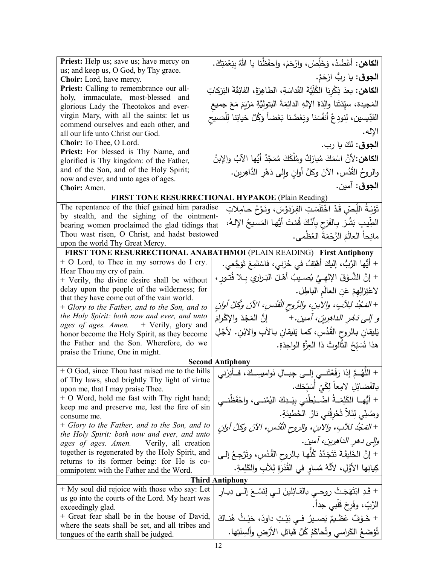| Priest: Help us; save us; have mercy on                                                  |  | ا <b>لكاهن:</b> أَعْضُدْ، وَخَلِّصْ، وارْحَمْ، واحفَظْنا يا اللهُ بِنِعْمَتِكَ.          |
|------------------------------------------------------------------------------------------|--|------------------------------------------------------------------------------------------|
| us; and keep us, O God, by Thy grace.<br>Choir: Lord, have mercy.                        |  | ا <b>لجوق</b> : يا ربُّ ارْحَمْ.                                                         |
| Priest: Calling to remembrance our all-                                                  |  | ا <b>لكاهن:</b> بعدَ ذِكْرِنا الكُلِّيَّةَ القَداسَةِ، الطاهِرَةَ، الفائِقَةَ البَرَكاتِ |
| holy, immaculate, most-blessed and                                                       |  |                                                                                          |
| glorious Lady the Theotokos and ever-                                                    |  | المَجيدة، سيِّدَتَنا والِدَةَ الإِلهِ الدائِمَةَ البَتوليَّةِ مَرْيَمَ مَعَ جميع         |
| virgin Mary, with all the saints: let us                                                 |  | القدِّيسين، لِنودِعْ أَنفُسَنا وبَعْضُنا بَعْضاً وَكُلَّ حَياتِنا للِّمَسيح              |
| commend ourselves and each other, and<br>all our life unto Christ our God.               |  | الإله.                                                                                   |
| Choir: To Thee, O Lord.                                                                  |  | ا <b>لجوق</b> : لكَ يا رب.                                                               |
| Priest: For blessed is Thy Name, and                                                     |  |                                                                                          |
| glorified is Thy kingdom: of the Father,                                                 |  | ا <b>لكاهن:</b> 'لأنَّ اسْمَكَ مُبارَكٌ ومُلْكَكَ مُمَجَّدٌ أَيُّها الآبُ والإبنُ        |
| and of the Son, and of the Holy Spirit;                                                  |  | والروحُ القُدُس، الآنَ وكلَّ أوانِ وإِلى دَهْرِ الدَّاهِرين.                             |
| now and ever, and unto ages of ages.<br>Choir: Amen.                                     |  | ا <b>لجوق</b> : آمين.                                                                    |
|                                                                                          |  | FIRST TONE RESURRECTIONAL HYPAKOE (Plain Reading)                                        |
| The repentance of the thief gained him paradise                                          |  | تَوْبَـةُ اللَّـِصّ قَدْ اخْتَلَسَتِ الفِرْدَوْسَ، ونَـوْحُ حـامِلاتِ                    |
| by stealth, and the sighing of the ointment-                                             |  |                                                                                          |
| bearing women proclaimed the glad tidings that                                           |  | الطِّيبِ بَشَّرَ بِالفَرَحِ بِأَنَّكَ قُمْتَ أَيُّها المَسيخُ الإلـهُ،                   |
| Thou wast risen, O Christ, and hadst bestowed                                            |  | مانِحاً العالَمَ الرَّحْمَةَ العُظْمى.                                                   |
| upon the world Thy Great Mercy.                                                          |  |                                                                                          |
|                                                                                          |  | FIRST TONE RESURRECTIONAL ANABATHMOI (PLAIN READING) First Antiphony                     |
| + O Lord, to Thee in my sorrows do I cry.<br>Hear Thou my cry of pain.                   |  | + أَيُّها الرَّبُّ، إليكَ أَهْتِفُ في حُزني، فاسْتَمِعْ تَوَجَّعي.                       |
| + Verily, the divine desire shall be without                                             |  | + إنَّ الشَّوْقَ الإلهِـيَّ يُصـيبُ أهْـلَ البَـراري بِـلا فُتـورٍ ،                     |
| delay upon the people of the wilderness; for                                             |  | لاعْتِزالِهِمْ عَنِ الْعالَمِ الباطِلِ.                                                  |
| that they have come out of the vain world.                                               |  |                                                                                          |
| + Glory to the Father, and to the Son, and to                                            |  | + المَجْدُ لِلِآبِ، والإبنِ، والرُّوحِ الْقُدُسِ، الآنَ وكُلَّ أُوانِ                    |
| the Holy Spirit: both now and ever, and unto<br>ages of ages. Amen. + Verily, glory and  |  | <i>و إلى دَهْرِ الداهِرِينَ، آمين.</i> +         إنَّ المَجْدَ والإِكْرامَ               |
| honor become the Holy Spirit, as they become                                             |  | يَليقان بالروح القُدُسِ، كما يَليقان بـالآبِ والابْن. لأجْلِ                             |
| the Father and the Son. Wherefore, do we                                                 |  | هذا نُسَبِّحُ الثَّالوثَ ذا العِزَّةِ الواحِدَةِ.                                        |
| praise the Triune, One in might.                                                         |  |                                                                                          |
|                                                                                          |  | <b>Second Antiphony</b>                                                                  |
| + O God, since Thou hast raised me to the hills                                          |  | + اللَّهُـمَّ إذا رَفَعْتَنــي إلــى جِبــالِ نَواميسِــكَ، فــأنِرْنـي                  |
| of Thy laws, shed brightly Thy light of virtue<br>upon me, that I may praise Thee.       |  | بالفَضائِلِ لامِعاً لِكَيْ أَسَبّحَك.                                                    |
| + O Word, hold me fast with Thy right hand;                                              |  | + أَيُّهــا الكَلِمَــةُ اضْــبُطْني بيَــدِكَ اليُمْنــي، واحْفَظْنــي                  |
| keep me and preserve me, lest the fire of sin                                            |  |                                                                                          |
| consume me.                                                                              |  | وصُنِّي لِئَلاً تُحْرِقُني نارُ  الخَطيئةِ.                                              |
| + Glory to the Father, and to the Son, and to                                            |  | + المَجْدُ للآبِ، والإبنِ، والروحِ الْقُدُسِ، الآنَ وكلَّ أُوانِ                         |
| the Holy Spirit: both now and ever, and unto<br>ages of ages. Amen. Verily, all creation |  | والى دهر الداهرين، آمين.                                                                 |
| together is regenerated by the Holy Spirit, and                                          |  | + إنَّ الخَليقَةَ نَتَجَدَّدُ كُلُّها بالروح القُدُسِ، وتَرْجِعُ إلى                     |
| returns to its former being: for He is co-                                               |  |                                                                                          |
| omnipotent with the Father and the Word.                                                 |  | كِيانِها الأوَّلِ، لأَنَّهُ مُساوٍ في الْقُدْرَةِ لِلآبِ والكَلِمةِ.                     |
|                                                                                          |  | <b>Third Antiphony</b>                                                                   |
| + My soul did rejoice with those who say: Let                                            |  | + قَدِ ابْتَهَجَتْ روحـي بالقـائِلينَ لـي لِنَسْـعَ إِلـي دِيـارِ                        |
| us go into the courts of the Lord. My heart was<br>exceedingly glad.                     |  | الرَّبِّ، وفَرِحَ قَلْبي جداً.                                                           |
| + Great fear shall be in the house of David,                                             |  | + خَـوْفٌ عَظـٰـيمٌ يَصــيرُ فــي بَيْـتِ داودَ، حَيْـثُ هُنــاكَ                        |
| where the seats shall be set, and all tribes and                                         |  |                                                                                          |
| tongues of the earth shall be judged.                                                    |  | تُؤضَعُ الكَراسي وتُحاكَمُ كُلُّ قَبائلِ الأَرْضِ وأَلسِنَتِها.                          |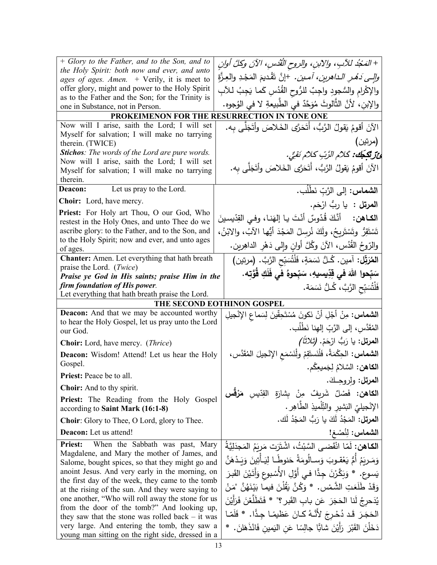| + Glory to the Father, and to the Son, and to                                                         |                                                                              |  |
|-------------------------------------------------------------------------------------------------------|------------------------------------------------------------------------------|--|
| the Holy Spirit: both now and ever, and unto                                                          | + المَجْدُ للآبِ، والآبنِ، والروح القُدْسِ، الآنَ وكلَّ أوانِ                |  |
| ages of ages. Amen. + Verily, it is meet to                                                           | <i>والِي دَهْرِ الداهرين، آمين.</i> +إنَّ نَقْديمَ المَجْدِ والعِزَّة        |  |
| offer glory, might and power to the Holy Spirit                                                       | والإكْرام والسُّجودِ واجِبٌ للرُّوحِ القُدُسِ كَما يَجِبُ لـلآبِ             |  |
| as to the Father and the Son; for the Trinity is<br>one in Substance, not in Person.                  | والإبن، لأنَّ الثَّالوثَ مُوَحَّدٌ في الطَّبيعةِ لا في الوُجوهِ.             |  |
|                                                                                                       | PROKEIMENON FOR THE RESURRECTION IN TONE ONE                                 |  |
| Now will I arise, saith the Lord; I will set                                                          |                                                                              |  |
| Myself for salvation; I will make no tarrying                                                         | الآنَ أقومُ يَقولُ الرَّبُّ، أَتَحَرَّى الْخَلاصَ وأَتَجَلَّى بِه.           |  |
| therein. (TWICE)                                                                                      | (مرتين)                                                                      |  |
| <b>Stichos:</b> The words of the Lord are pure words.                                                 | ئِ تَكْجَكُ: كَلاُم الرَّبِّ كلاُمْ نَقِيٍّ.                                 |  |
| Now will I arise, saith the Lord; I will set                                                          |                                                                              |  |
| Myself for salvation; I will make no tarrying                                                         | الآنَ أقومُ يَقولُ الرَّبُّ، أَتَحَرَّى الخَلاصَ وأتَجَلَّى به.              |  |
| therein.                                                                                              |                                                                              |  |
| Let us pray to the Lord.<br><b>Deacon:</b>                                                            | ا <b>لشماس:</b> إلى الرَّبّ نَطْلُب.                                         |  |
| Choir: Lord, have mercy.                                                                              | ا <b>لمرتل :</b> يا ربُ ارْحَم.                                              |  |
| Priest: For Holy art Thou, O our God, Who                                                             | ا <b>لكـاهن:</b> أَنَّكَ قُدّوسٌ أَنْتَ يـا إِلهَنـا، وفـي القِدّيسينَ       |  |
| restest in the Holy Ones, and unto Thee do we                                                         |                                                                              |  |
| ascribe glory: to the Father, and to the Son, and                                                     | تَسْتَقِرُّ وتَسْتَرِيحُ، ولَكَ نُرسِلُ المَجْدَ أَيُّها الآبُ، والابْنُ،    |  |
| to the Holy Spirit; now and ever, and unto ages<br>of ages.                                           | والرّوحُ القُدُس، الآنَ وكُلَّ أوانِ وإلى دَهْرِ الداهِرينِ.                 |  |
| Chanter: Amen. Let everything that hath breath                                                        | المُرَبِّل: آمين. كُـلُّ نَسَمَةٍ، فَلْتُسَبِّحِ الرَّبَّ. (مرتين)           |  |
| praise the Lord. ( <i>Twice</i> )                                                                     | سَبِّحوا اللهَ في قِدِّيسيهِ، سَبِّحوهُ في فَلَكِ قَوَّتِه.                  |  |
| Praise ye God in His saints; praise Him in the<br>firm foundation of His power.                       |                                                                              |  |
| Let everything that hath breath praise the Lord.                                                      | فَلْتُسَبِّحِ الرَّبَّ، كُـلُّ نَسَمَة.                                      |  |
| THE SECOND EOTHINON GOSPEL                                                                            |                                                                              |  |
|                                                                                                       |                                                                              |  |
| <b>Deacon:</b> And that we may be accounted worthy                                                    |                                                                              |  |
| to hear the Holy Gospel, let us pray unto the Lord                                                    | ا <b>لشماس:</b> مِنْ أَجْلِ أَنْ نَكونَ مُسْتَحِقِّينَ لِسَماعِ الإِنْجِيلِ  |  |
| our God.                                                                                              | المُقَدَّس، إلى الرَّبِّ إلهِنا نَطْلُب.                                     |  |
| <b>Choir:</b> Lord, have mercy. ( <i>Thrice</i> )                                                     | ا <b>لمرتل:</b> يا رَبُّ ارْحَمْ. <i>(ثلاثاً)</i>                            |  |
| <b>Deacon:</b> Wisdom! Attend! Let us hear the Holy                                                   | ا <b>لشماس:</b> الحِكْمَةُ، فَلْنَستَقِمْ ولْنَسْمَعِ الإِنْجيلَ المُقَدَّس، |  |
| Gospel.                                                                                               | ا <b>لكاهن:</b> السَّلامُ لِجَميعِكُم.                                       |  |
| Priest: Peace be to all.                                                                              | <b>المرتل:</b> ولروحـكَ.                                                     |  |
| <b>Choir:</b> And to thy spirit.                                                                      |                                                                              |  |
| Priest: The Reading from the Holy Gospel                                                              | ا <b>لكاهن: فَصْ</b> لٌ شَرِيفٌ مِنْ بِشارَةِ القِدِّيسِ <b>مَرْقَسِ</b>     |  |
| according to Saint Mark (16:1-8)                                                                      | الإنْجيليّ البَشيرِ والنِّلْميذِ الطَّاهِرِ .                                |  |
| Choir: Glory to Thee, O Lord, glory to Thee.                                                          | ا <b>لمرتِل:</b> المَجْدُ لَكَ يا رَبُّ المَجْدُ لَك.                        |  |
| Deacon: Let us attend!                                                                                | الشماس: لِنُصْغ!                                                             |  |
| When the Sabbath was past, Mary<br><b>Priest:</b>                                                     | ا <b>لكـاهن:</b> لَمّا انْقَضـى السَّبْتُ، اشْتَرَت مَربَمُ المَجدَلِيَّةُ   |  |
| Magdalene, and Mary the mother of James, and                                                          |                                                                              |  |
| Salome, bought spices, so that they might go and                                                      | وَمَـرِبَمُ أَمُّ يَعْقـوبَ وَسـالُومَةُ حَنوطًـا لِيَـأْتِينَ وَبَـدْهَنَّ  |  |
| anoint Jesus. And very early in the morning, on                                                       | يَسوع. * وَبَكَّرْنَ جِدًّا فـى أَوَّلِ الأَسْبوعِ وَأَتَيْنَ الْقَبرَ       |  |
| the first day of the week, they came to the tomb<br>at the rising of the sun. And they were saying to | وَقَدْ طَلَعَتِ الشَّمْسِ. * وَكُنَّ يَقُلْنَ فيما بَيْنَهُنَّ "مَنْ         |  |
| one another, "Who will roll away the stone for us                                                     | يُدَحرجُ لَنا الحَجَرَ  عَن بابِ القَبرِ ؟"  * فَتَطَلَّعْنَ فَرَأَيْنَ      |  |
| from the door of the tomb?" And looking up,                                                           | الحَجَرَ قَد دُحْرِجَ لأَنَّهُ كـانَ عَظيمًـا جِدًّا. * فَلَمّـا             |  |
| they saw that the stone was rolled back $-$ it was<br>very large. And entering the tomb, they saw a   | دَخَلْنَ القَبْرَ رَأَيْنَ شابًّا جالِسًا عَنِ النِمينِ فَانْذَهَلنَ. *      |  |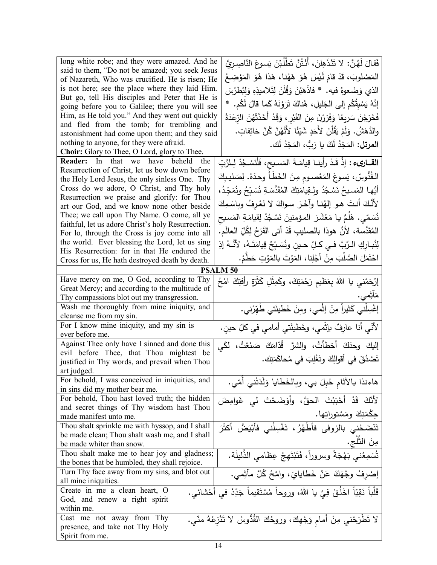| long white robe; and they were amazed. And he                                                        | فَقالَ لَهُنَّ: لا تَنْذَهِلنَ، أَنْتُنَّ تَطْلُبْنَ يَسوعَ النّاصِريَّ            |
|------------------------------------------------------------------------------------------------------|------------------------------------------------------------------------------------|
| said to them, "Do not be amazed; you seek Jesus                                                      | المَصْلوبَ، قَدْ قامَ لَيْسَ هُوَ هَهُنا، هَذا هُوَ المَوْضِعُ                     |
| of Nazareth, Who was crucified. He is risen; He                                                      |                                                                                    |
| is not here; see the place where they laid Him.<br>But go, tell His disciples and Peter that He is   | الذي وَضَعوهُ فيه. * فاذْهَبْنَ وَقُلْنَ لِتَلامِيذِهِ وَلِبُطْرُسَ                |
| going before you to Galilee; there you will see                                                      | إِنَّهُ يَسْبِقُكُم إِلَى الْجَلِيلِ، هُناكَ تَرَوْنَهُ كَما قالَ لَكُم. *         |
| Him, as He told you." And they went out quickly                                                      |                                                                                    |
| and fled from the tomb; for trembling and                                                            | فَخَرَجْنَ سَرِيعًا وَفَرَرْنَ مِنَ القَبْرِ ، وَقَدْ أَخَذَتْهُنَ الرّعْدَةُ      |
| astonishment had come upon them; and they said                                                       | والدَّهَشُ. وَلَمْ يَقُلْنَ لأَحَدٍ شَيْئًا لأَنَّهُنَّ كُنَّ خائِفاتٍ.            |
| nothing to anyone, for they were afraid.                                                             | ا <b>لمرتل:</b> المَجْدُ لَكَ يا رَبُّ، المَجْدُ لَك.                              |
| Choir: Glory to Thee, O Lord, glory to Thee.                                                         |                                                                                    |
| Reader: In that we have beheld the                                                                   | ا <b>لقــارىء :</b> إذْ قَدْ رأينــا قِيامَــةَ المَسـيح، فَلْنَسْـجُدْ لِـلرَّبِّ |
| Resurrection of Christ, let us bow down before                                                       |                                                                                    |
| the Holy Lord Jesus, the only sinless One. Thy                                                       | الْقُدُوسِّ، يَسوعَ المَعْصومِ مِنَ الْخَطَأُ وحدَهُ. لِصَليبِكَ                   |
| Cross do we adore, O Christ, and Thy holy                                                            | أَيُّهـا المَسـيحُ نَسْـجُدُ ولـقِيامَتِكَ المُقَدَّسَـةِ نُسَـبِّحُ ونُمَجِّدُ،   |
| Resurrection we praise and glorify: for Thou                                                         | لأَنَّكَ أَنتَ هو إلهُنـا وآخَرَ سواكَ لا نَعْرِفُ وبِاسْمِكَ                      |
| art our God, and we know none other beside                                                           |                                                                                    |
| Thee; we call upon Thy Name. O come, all ye                                                          | نُسَمّى. هَلَمَّ يـا مَعْشَرَ المؤمنينَ نَسْجُدْ لِقِيامَةِ المَسيح                |
| faithful, let us adore Christ's holy Resurrection.<br>For lo, through the Cross is joy come into all | المُقَدَّسة، لأَنَّ هوذا بالصليبِ قَدْ أَتى الفَرَحُ لِكُلِّ العالَمِ.             |
| the world. Ever blessing the Lord, let us sing                                                       |                                                                                    |
| His Resurrection: for in that He endured the                                                         | لِنُبـاركِ الـرَّبَّ فـى كـلِّ حـين ونُسَبِّحْ قِيامَتَـهُ، لأنَّـهُ إذِ           |
| Cross for us, He hath destroyed death by death.                                                      | احْتَمَلَ الصَّلْبَ مِنْ أَجْلِنا، المَوْتَ بالمَوْتِ حَطَّمْ.                     |
|                                                                                                      | <b>PSALM 50</b>                                                                    |
| Have mercy on me, O God, according to Thy                                                            |                                                                                    |
| Great Mercy; and according to the multitude of                                                       | إِرْحَمْني يا اللهُ بِعَظْيمِ رَحْمَتِكَ، وكَمِثْلِ كَثْرَةِ رأفتِكَ امْحُ         |
| Thy compassions blot out my transgression.                                                           | مَاثِمي.                                                                           |
| Wash me thoroughly from mine iniquity, and                                                           | إغْسِلْنِي كَثيراً مِنْ إثْمي، ومِنْ خَطيئَتي طَهَّرْني.                           |
| cleanse me from my sin.                                                                              |                                                                                    |
| For I know mine iniquity, and my sin is                                                              | لأنّي أنا عارِفٌ بإثْمي، وخَطيئَتي أمامي في كَلِّ حينِ.                            |
| ever before me.                                                                                      |                                                                                    |
| Against Thee only have I sinned and done this                                                        | إليكَ وحدَكَ أخطأتُ، والشرَّ قُدّامَكَ صَنَعْتُ، لكَي                              |
| evil before Thee, that Thou mightest be                                                              | تَصْدُقَ في أقوالِكَ وتَغْلِبَ في مُحاكَمَتِك.                                     |
| justified in Thy words, and prevail when Thou                                                        |                                                                                    |
| art judged.                                                                                          |                                                                                    |
| For behold, I was conceived in iniquities, and                                                       | هاءنذا بالأثام حُبِلَ بي، وبالخَطايا وَلَدَتْني أُمّي.                             |
| in sins did my mother bear me.                                                                       |                                                                                    |
| For behold, Thou hast loved truth; the hidden<br>and secret things of Thy wisdom hast Thou           | لأَنَّكَ قَدْ أَحْبَبْتَ الْحقَّ، وأَوْضَحْتَ لَى غَوامِضَ                         |
| made manifest unto me.                                                                               | حڭمَتِكَ ومَسْتوراتِها.                                                            |
| Thou shalt sprinkle me with hyssop, and I shall                                                      | تَنْضَحُني بالزوفي فأطْهُرُ، تَغْسِلُني فَأَبْيَضُ أَكثَرَ                         |
| be made clean; Thou shalt wash me, and I shall                                                       |                                                                                    |
| be made whiter than snow.                                                                            | مِنَ الثَّلَجِ.                                                                    |
| Thou shalt make me to hear joy and gladness;                                                         | تُسْمِعُني بَهْجَةً وسروراً، فَتَبْتَهِجُ عِظامي الذَّليلَة.                       |
| the bones that be humbled, they shall rejoice.                                                       |                                                                                    |
| Turn Thy face away from my sins, and blot out                                                        | إِصْرِفْ وِجْهَكَ عَنْ خَطَايايَ، واِمْحُ كُلَّ مِأْثِمي.                          |
| all mine iniquities.                                                                                 |                                                                                    |
| Create in me a clean heart, O                                                                        | قَلْباً نَقِيّاً اخْلُقْ فِيَّ يا اللهُ، وروحاً مُسْتَقيماً جَدِّدْ في أَحْشائي.   |
| God, and renew a right spirit                                                                        |                                                                                    |
| within me.                                                                                           |                                                                                    |
| Cast me not away from Thy                                                                            | لا تَطْرَحْني مِنْ أمام وَجْهِكَ، وروحُكَ القُدُّوسُ لا تَنْزِعْهُ منّي.           |
| presence, and take not Thy Holy                                                                      |                                                                                    |
| Spirit from me.                                                                                      |                                                                                    |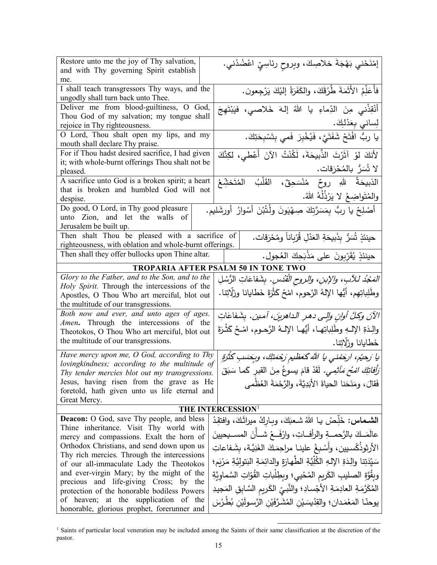| Restore unto me the joy of Thy salvation,               |                                                                                       |
|---------------------------------------------------------|---------------------------------------------------------------------------------------|
| and with Thy governing Spirit establish                 | إمْنَحْني بَهْجَةَ خلاصِكَ، وبِروحِ رئاسِيِّ اعْضُدْني.                               |
| me.                                                     |                                                                                       |
| I shall teach transgressors Thy ways, and the           |                                                                                       |
| ungodly shall turn back unto Thee.                      | فأُعَلِّمُ الأَثَمَةَ طُرُقَكَ، والكَفَرَةُ إليْكَ يَرْجِعون.                         |
| Deliver me from blood-guiltiness, O God,                |                                                                                       |
| Thou God of my salvation; my tongue shall               | أَنْقِذْني مِنَ الدِّماءِ يا اللهُ إله خَلاصي، فيَبْتَهِجَ                            |
| rejoice in Thy righteousness.                           | لِساني بِعَدْلِكَ.                                                                    |
| O Lord, Thou shalt open my lips, and my                 | يا ربٌّ افْتَحْ شَفَتَىَّ، فَيُخْبِرَ فَمى بِتَسْبِحَتِكَ.                            |
| mouth shall declare Thy praise.                         |                                                                                       |
| For if Thou hadst desired sacrifice, I had given        | لأَنكَ لَوْ آثَرْتَ الذَّبِيحَةَ، لَكُنْتُ الآنَ أَعْطي، لكِنَّكَ                     |
| it; with whole-burnt offerings Thou shalt not be        |                                                                                       |
| pleased.                                                | لا شُمَرٌ بالمُحْرَقات.                                                               |
| A sacrifice unto God is a broken spirit; a heart        | الذبيحَةُ للهِ روحٌ مُنْسَحِقٌ، القَلْبُ المُتَخشِّعُ                                 |
| that is broken and humbled God will not                 |                                                                                       |
| despise.                                                | والمُتَواضِعُ لا يَرْذُلُهُ اللهُ.                                                    |
| Do good, O Lord, in Thy good pleasure                   | أَصْلِحْ يا ربُّ بِمَسَرَّتِكَ صِهْيَونَ ولْتُبْنَ أَسْوارُ أُورشَليم.                |
| unto Zion, and let the walls of                         |                                                                                       |
| Jerusalem be built up.                                  |                                                                                       |
| Then shalt Thou be pleased with a sacrifice of          | حينئذٍ شُنَّرٌ بِذَبيحَةِ العَدْلِ قُرْبِاناً ومُحْرَقات.                             |
| righteousness, with oblation and whole-burnt offerings. |                                                                                       |
| Then shall they offer bullocks upon Thine altar.        | حينئذٍ يُقَرِّبونَ على مَذْبَحِكَ العُجولِ.                                           |
|                                                         | TROPARIA AFTER PSALM 50 IN TONE TWO                                                   |
| Glory to the Father, and to the Son, and to the         | <i>المَجْدُ للأبِ، والإبنِ، والروحِ القُدُسِ.</i> بِشَفاعَاتِ الرُسُلِ                |
| Holy Spirit. Through the intercessions of the           |                                                                                       |
| Apostles, O Thou Who art merciful, blot out             | وطَلِباتِهِم، أيُها اﻹلهُ الرَّحوم، امْحُ كَثْرَةَ خَطايانا وزلَّاتِنا.               |
| the multitude of our transgressions.                    |                                                                                       |
| Both now and ever, and unto ages of ages.               | الآنَ وكلَّ أوانٍ وإلى دهرِ الداهرينَ، آمين. بِشَفاعَاتِ                              |
| Amen. Through the intercessions of the                  |                                                                                       |
| Theotokos, O Thou Who art merciful, blot out            | والِدَةِ الإِلّْــهِ وطَٰلِباتِهـا، أَيُّهـا الإِلْـهُ الرَّحـوم، امْــحُ كَثْـرَةَ   |
| the multitude of our transgressions.                    | خَطايانا وزَلَّاتِنا.                                                                 |
| Have mercy upon me, O God, according to Thy             |                                                                                       |
| lovingkindness; according to the multitude of           | يا رَحيُم، ارجَمْني يا الله كَعَظيم رَجْمَتِكَ، وبِحَسَبِ كَثْرَةِ                    |
| Thy tender mercies blot out my transgressions.          | <i>َرَأَفاتِكَ امْحُ مَأْثِمِي.</i> لَقَدْ قامَ يسوعُ مِنَ القبرِ كَما سَبَقَ         |
| Jesus, having risen from the grave as He                | فَقالَ، ومَنَحَنا الحياةَ الأَبَدِيَّةَ، والرَّحْمَةَ العُظْمي                        |
| foretold, hath given unto us life eternal and           |                                                                                       |
| Great Mercy.                                            |                                                                                       |
|                                                         | THE INTERCESSION <sup>1</sup>                                                         |
| <b>Deacon:</b> O God, save Thy people, and bless        | ا <b>لشـماس:</b> خَلِّصْ يـا اللهُ شـعبَكَ، وبـارِكْ ميراثَكَ، وافتقِدْ               |
| Thine inheritance. Visit Thy world with                 |                                                                                       |
| mercy and compassions. Exalt the horn of                | عالَمَــكَ بالرَّحمـــةِ والرأفــاتِ، وارْفَـــعْ شــأنَ المســيحيينَ                 |
| Orthodox Christians, and send down upon us              | الأرثوذُكْسيين، وأُسْبغْ علينـا مراجِمَكَ الغَنِيَّـة، بشَفاعاتِ                      |
| Thy rich mercies. Through the intercessions             | سَيّدَتِنا والِدَةِ الإِلهِ الكُلِّيّةِ الطّهارَةِ والدائِمَةِ البَتوليَّةِ مَرْيَمٍ؛ |
| of our all-immaculate Lady the Theotokos                |                                                                                       |
| and ever-virgin Mary; by the might of the               | وبِقُوَّةِ الصليبِ الكَريمِ المُحْييِ؛ وبطِلْباتِ القُوّاتِ السَّماوِيَّةِ            |
| precious and life-giving Cross; by the                  | المُكَرَّمَةِ العادِمَةِ الأَجْسادِ؛ والنَّبيِّ الكَريمِ السَّابِقِ المَجيدِ          |
| protection of the honorable bodiless Powers             |                                                                                       |
| of heaven; at the supplication of the                   | يوحنّا المَعْمَدان؛ والقِدّيسَيْنِ المُشَرَّفَيْنِ الرَّسولَيْنِ بُطْرُسَ             |
| honorable, glorious prophet, forerunner and             |                                                                                       |

<span id="page-14-0"></span><sup>1</sup> Saints of particular local veneration may be included among the Saints of their same classification at the discretion of the pastor.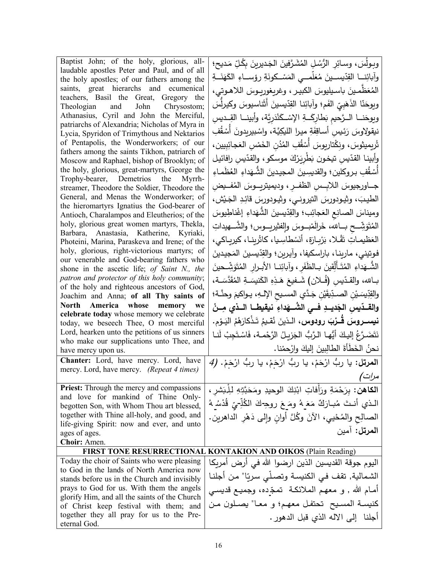| Baptist John; of the holy, glorious, all-                                                    | وبولسَ، وسائِرِ الرُّسُلِ المُشَرَّفِينَ الجَديرينَ بِكُلِّ مَديحِ؛                   |
|----------------------------------------------------------------------------------------------|---------------------------------------------------------------------------------------|
| laudable apostles Peter and Paul, and of all                                                 | وأبائِنـــا القِدّيســينَ مُعَلّمـــي المَسْــكونَةِ رؤســـاءِ الكَهَنَـــةِ          |
| the holy apostles; of our fathers among the<br>saints, great hierarchs and ecumenical        |                                                                                       |
| teachers, Basil the Great, Gregory the                                                       | المُعَظَّمينَ باسيليوسَ الكبيـر ، وغريغوريـوسَ الـلاهـوتي،                            |
| Theologian and John Chrysostom;                                                              | ويوحَنّا الذَهَبِيّ الفَم؛ وآبائِنا القِدّيسينَ أثَناسيوسَ وكيرلِّسَ                  |
| Athanasius, Cyril and John the Merciful,                                                     | وبوحَنــا الــرَّحيم بَطارِكَــةِ الإسْــكَنْدَرِيَّة، وأبينــا القِــديسِ            |
| patriarchs of Alexandria; Nicholas of Myra in<br>Lycia, Spyridon of Trimythous and Nektarios | نيقولاوسَ رَئِيسِ أَساقِفَةِ ميرا الليكِيَّة، واسْبيريدونَ أَسْقُفِ                   |
| of Pentapolis, the Wonderworkers; of our                                                     |                                                                                       |
| fathers among the saints Tikhon, patriarch of                                                | تْرِيمِيثوسَ، ونِكْتارِيوسَ أَسْقُفِ المُدُنِ الْخَمْسِ الْعَجائِبِيينِ،              |
| Moscow and Raphael, bishop of Brooklyn; of                                                   | وأبينا القدّيسِ تيخون بَطْرِيَرْكَ موسكو ، والقدّيسِ رافائيل                          |
| the holy, glorious, great-martyrs, George the                                                | أَسْقُفِ بروكلين؛ والقديسِينَ المجيدينَ الشَّـهَداءِ العُظُمـاءِ                      |
| Trophy-bearer, Demetrios the Myrrh-<br>streamer, Theodore the Soldier, Theodore the          | جــاورجيوسَ الـلابِــسِ الظفــرِ ، وديميتريـــوسَ المُفـــيضِ                         |
| General, and Menas the Wonderworker; of                                                      | الطيبَ، وثيودورسَ التيروني، وثيودورسَ قائِدِ الجَيْشِ،                                |
| the hieromartyrs Ignatius the God-bearer of                                                  |                                                                                       |
| Antioch, Charalampos and Eleutherios; of the                                                 | وميناسَ الصانِعِ العَجائِب؛ والقِدّيسينَ الشُّهَداءِ إغْناطِيوسَ                      |
| holy, glorious great women martyrs, Thekla,<br>Barbara, Anastasia, Katherine, Kyriaki,       | الْمُتَوَشِّــح بـــالله، خَرالْمْبـــوسَ والِفشيريـــوس؛ والشَّــــهيداتِ            |
| Photeini, Marina, Paraskeva and Irene; of the                                                | العَظيمـاتِ تَقْـلا، بَرْبِـارَة، أنَسْطاسِـيا، كاتْرينـا، كيريـاكي،                  |
| holy, glorious, right-victorious martyrs; of                                                 | فوتيني، مارينـا، باراسكيفا، وآيرين؛ والقِدّيسينَ المَجيدينَ                           |
| our venerable and God-bearing fathers who                                                    | الشُّــهَداءِ المُتَـأَلِّقِينَ بــالظَفَرِ ، وآبائِنــا الأبــرارِ المُتَوَشِّــحينَ |
| shone in the ascetic life; of Saint N., the<br>patron and protector of this holy community;  |                                                                                       |
| of the holy and righteous ancestors of God,                                                  | بــالله، والقـدّيسِ (فُــلان) شَــفيعَ هَـذِهِ الكَنيسَــةِ المُقَدَّسَــة،           |
| Joachim and Anna; of all Thy saints of                                                       | والقِدِّسِسَيْنِ الصـدِّيقَيْنِ جَـدَّي المسـيح الإِلــهِ، يـواكيمَ وحنَّـة؛          |
| North America whose memory we                                                                | والقــدّيسِ الجَديــدِ فــي الشُـــهَداءِ نيقيطــا الــذي مِــنْ                      |
| celebrate today whose memory we celebrate<br>today, we beseech Thee, O most merciful         | <b>نيســروسَ قَــرْبَ رودوس،</b> الـذينَ نُقـيمُ تَـذْكارَهُمُ اليَـوْمِ.             |
| Lord, hearken unto the petitions of us sinners                                               |                                                                                       |
| who make our supplications unto Thee, and                                                    | نَتَضَرَّعُ إِليكَ أَيُّها الرَّبُّ الجَزِيلُ الرَّحْمـة، فَاسْتَجِبْ لَنـا           |
| have mercy upon us.                                                                          | نحنُ الخَطَأَةَ الطالِبينَ إليكَ وارْحِمْنا.                                          |
| Chanter: Lord, have mercy. Lord, have                                                        | المرتل: يا ربُ ارْحَمْ، يا ربُ ارْحَمْ، يا ربُ ارْحَمْ. (4                            |
| mercy. Lord, have mercy. (Repeat 4 times)                                                    | مرات)                                                                                 |
| <b>Priest:</b> Through the mercy and compassions                                             | ا <b>لكاهن:</b> بِرَحْمَةِ ورَأفاتِ ابْنِكَ الوحيدِ ومَحَبَّتِهِ للِْبَشْرِ ،         |
| and love for mankind of Thine Only-                                                          |                                                                                       |
| begotten Son, with Whom Thou art blessed,                                                    | الـذي أنـتَ مُبـارَكٌ مَعَـهُ ومَـعَ روحِـكَ الكُلِّـيِّ قُدْسُـهُ                    |
| together with Thine all-holy, and good, and                                                  | الصالِح والمُحْيي، الآنَ وكُلَّ أُوانِ وإلى دَهْرِ الداهرين.                          |
| life-giving Spirit: now and ever, and unto<br>ages of ages.                                  | ا <b>لمرتل:</b> آمين                                                                  |
| Choir: Amen.                                                                                 |                                                                                       |
|                                                                                              | <b>FIRST TONE RESURRECTIONAL KONTAKION AND OIKOS (Plain Reading)</b>                  |
| Today the choir of Saints who were pleasing                                                  | اليوم جوقة القديسين الذين ارضوا الله في أرض أمريكا                                    |
| to God in the lands of North America now                                                     |                                                                                       |
| stands before us in the Church and invisibly                                                 | الشمالية, تقف في الكنيسة وتصلِّي سريّا" من أجلنـا                                     |
| prays to God for us. With them the angels<br>glorify Him, and all the saints of the Church   | أمـام الله , و معهـم الملائكـة  تمجّـده، وجميـع قديسي                                 |
| of Christ keep festival with them; and                                                       | كنيسة المسيح تحتفل معهم؛ و معـا" يصـلون مـن                                           |
| together they all pray for us to the Pre-                                                    | أجلنا "إلى الآله الذي قبل الدهور .                                                    |
| eternal God.                                                                                 |                                                                                       |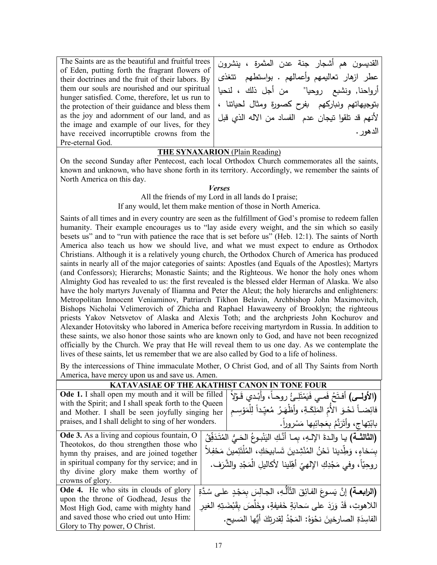The Saints are as the beautiful and fruitful trees of Eden, putting forth the fragrant flowers of their doctrines and the fruit of their labors. By them our souls are nourished and our spiritual hunger satisfied. Come, therefore, let us run to the protection of their guidance and bless them as the joy and adornment of our land, and as the image and example of our lives, for they have received incorruptible crowns from the Pre-eternal God.

القد�سون هم أشجار جنة عدن المثمرة ، ینشرون عطر ازهار تعاليمهم وأعمالهم . بواستطهم تتغذى أرواحنا, ونشبع روحيا" من أجل ذلك ، لنحيا بتوجیهاتهم ون�ار�هم �فرح �صورة ومثال لح�اتنا ، لأنهم قد تلقوا ت�جان عدم الفساد من الاله الذي قبل الدهور.

## **THE SYNAXARION** (Plain Reading)

On the second Sunday after Pentecost, each local Orthodox Church commemorates all the saints, known and unknown, who have shone forth in its territory. Accordingly, we remember the saints of North America on this day.

*Verses*

All the friends of my Lord in all lands do I praise; If any would, let them make mention of those in North America.

Saints of all times and in every country are seen as the fulfillment of God's promise to redeem fallen humanity. Their example encourages us to "lay aside every weight, and the sin which so easily besets us" and to "run with patience the race that is set before us" (Heb. 12:1). The saints of North America also teach us how we should live, and what we must expect to endure as Orthodox Christians. Although it is a relatively young church, the Orthodox Church of America has produced saints in nearly all of the major categories of saints: Apostles (and Equals of the Apostles); Martyrs (and Confessors); Hierarchs; Monastic Saints; and the Righteous. We honor the holy ones whom Almighty God has revealed to us: the first revealed is the blessed elder Herman of Alaska. We also have the holy martyrs Juvenaly of Iliamna and Peter the Aleut; the holy hierarchs and enlighteners: Metropolitan Innocent Veniaminov, Patriarch Tikhon Belavin, Archbishop John Maximovitch, Bishops Nicholai Velimerovich of Zhicha and Raphael Hawaweeny of Brooklyn; the righteous priests Yakov Netsvetov of Alaska and Alexis Toth; and the archpriests John Kochurov and Alexander Hotovitsky who labored in America before receiving martyrdom in Russia. In addition to these saints, we also honor those saints who are known only to God, and have not been recognized officially by the Church. We pray that He will reveal them to us one day. As we contemplate the lives of these saints, let us remember that we are also called by God to a life of holiness.

By the intercessions of Thine immaculate Mother, O Christ God, and of all Thy Saints from North America, have mercy upon us and save us. Amen.

| <b>KATAVASIAE OF THE AKATH</b><br>ON IN TONE FOUR         |  |                                                                                          |
|-----------------------------------------------------------|--|------------------------------------------------------------------------------------------|
| <b>Ode 1.</b> I shall open my mouth and it will be filled |  | (الأولسي) أَفتَحُ فَمـى فَيَمْتَلِئُ روحـاً، وأَبْـدي قَـوْلاً                           |
| with the Spirit; and I shall speak forth to the Queen     |  |                                                                                          |
| and Mother. I shall be seen joyfully singing her          |  | فائِضــاً نَحْـوَ الأُمّ المَلِكَـةِ، وأظْهَـرُ مُعيِّداً لِلْمَوْسِـمِ                  |
| praises, and I shall delight to sing of her wonders.      |  | بابْتِهاج، وأَتَرَنَّمُ بِعَجائِبِها مَسْروراً.                                          |
| Ode 3. As a living and copious fountain, O                |  | (الثالثـــة) يـا والدة الإلــهِ، بمـا أنَّكِ اليَنْبـوعُ الحَــِّيُ المُتَدَفِّقُ        |
| Theotokos, do thou strengthen those who                   |  |                                                                                          |
| hymn thy praises, and are joined together                 |  | بسَخاءٍ، وَطِّدينا نَحْنُ المُنْشِدينَ تَسابيحَكِ، المُلْتَئِمينَ مَحْفِلاً              |
| in spiritual company for thy service; and in              |  | روحِيّاً، وفي مَجْدِكِ اﻹلهيّ أهِّلينا ﻷكاليلِ الْمَجْدِ والشَّرَف.                      |
| thy divine glory make them worthy of                      |  |                                                                                          |
| crowns of glory.                                          |  |                                                                                          |
| <b>Ode 4.</b> He who sits in clouds of glory              |  | (ا <b>لزابعــة)</b> إنَّ يَسـوعَ الفـائِقَ التَّأَلُّـهِ، الجـالِسَ بمَجْدٍ علـى سُدَّةِ |
| upon the throne of Godhead, Jesus the                     |  |                                                                                          |
| Most High God, came with mighty hand                      |  | اللاهوتِ، قَدْ وَرَدَ على سَحابَةٍ خَفيفةٍ، وخَلَّصَ بِقَبْضَتِهِ الغيرِ                 |
| and saved those who cried out unto Him:                   |  | الفاسِدَةِ الصارخينَ نحْوَهُ: المَجْدُ لِقدرتِكَ أَيُّها المَسيح.                        |
| Glory to Thy power, O Christ.                             |  |                                                                                          |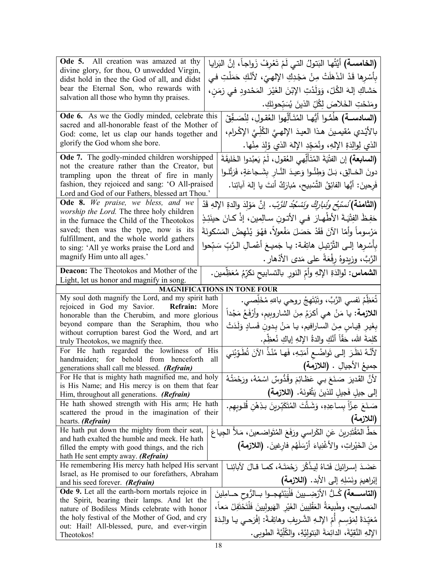| Ode 5. All creation was amazed at thy<br>divine glory, for thou, O unwedded Virgin,                  | (الخامسـة) أَيَّتُها البَتولُ التي لَمْ تَعْرفْ زَواجاً، إنَّ البَرايا                         |
|------------------------------------------------------------------------------------------------------|------------------------------------------------------------------------------------------------|
| didst hold in thee the God of all, and didst                                                         | بِأَسْرِها قَدْ انْذَهَلَتْ مِنْ مَجْدِكِ الإِلهيِّ، لأَنَّكِ حَمَلْتِ في                      |
| bear the Eternal Son, who rewards with                                                               | حَشاكِ إلهَ الكُلِّ، وَوَلَدْتِ الإِبْنَ الغَيْرَ المَحْدودِ في زمَنِ،                         |
| salvation all those who hymn thy praises.                                                            | ومَنَحْتِ الخَلاصَ لِكُلِّ الذينَ يُسَبِّحونَكِ.                                               |
| Ode 6. As we the Godly minded, celebrate this                                                        | (السادســـة) هلَمُّـوا أَيُّهـا المُتَـألِّهوا العُقـولِ، لِنُصَـفِّقْ                         |
| sacred and all-honorable feast of the Mother of                                                      | بالأَيْدي مُقيمينَ هذا العيدَ الإِلهيَّ الكُلِّيِّ الإِكْرامِ،                                 |
| God: come, let us clap our hands together and<br>glorify the God whom she bore.                      |                                                                                                |
|                                                                                                      | الذي لِوالِدَةِ الإِلهِ، ونُمَجِّدِ الإِلهَ الذي وُلِدَ مِنْها.                                |
| Ode 7. The godly-minded children worshipped                                                          | (ال <b>سابعة)</b> إن الفتْيَةَ المُتَأَلِّهي العُقولِ، لَمْ يَعبُدوا الخَليقَةَ                |
| not the creature rather than the Creator, but<br>trampling upon the threat of fire in manly          | دونَ الخـالِقِ، بَـلْ وَطِئُـوا وَعِيدَ النَّـارِ بِشَـجاعَةٍ، فَرَتَّلـوا                     |
| fashion, they rejoiced and sang: 'O All-praised                                                      | فَرحينَ: أَيُّها الفائِقُ التَّسْبِيحِ، مُبارَكٌ أنتَ يا إلهَ آبائِنا.                         |
| Lord and God of our Fathers, blessed art Thou.'                                                      |                                                                                                |
| Ode 8. We praise, we bless, and we                                                                   | (ا <b>لثامنة)</b> <i>نُستبُح ونُنارِكُ ونَسْكُدُ للرَّبّ.</i> إنَّ مَوْلِدَ والدةِ الإلهِ قَدْ |
| worship the Lord. The three holy children<br>in the furnace the Child of the Theotokos               | حَفِظَ الفِتْيَـةَ الأَطْهـارَ ۖ فـي الأَتـونِ سـالِمينِ، إذْ كـانَ حينَئِـذٍ                  |
| saved; then was the type, now is its                                                                 | مَرْسوماً وأمّا الآنَ فَقَدْ حَصَلَ مَفْعولاً، فهُوَ يُنْهضُ المَسْكونَةَ                      |
| fulfillment, and the whole world gathers                                                             |                                                                                                |
| to sing: 'All ye works praise the Lord and                                                           | بِأَسْرِها إِلـى التَّرْتِيلِ هاتِفَـة: يـا جَميـعَ أَعْمـالِ الـرَّبِّ سَبّحوا                |
| magnify Him unto all ages.'                                                                          | الرَّبَّ، وزيدوهُ رفْعَةً على مَدى الأذهار .                                                   |
| <b>Deacon:</b> The Theotokos and Mother of the                                                       | ا <b>لشماس:</b> لوالدَةِ الإلهِ وأمِّ النورِ بالتسابيح نكرِّمُ مُعَظِّمين.                     |
| Light, let us honor and magnify in song.                                                             |                                                                                                |
| My soul doth magnify the Lord, and my spirit hath                                                    | <b>MAGNIFICATIONS IN TONE FOUR</b>                                                             |
| rejoiced in God my Savior. Refrain: More                                                             | تُعَظِّمُ نَفسي الرَّبَّ، وتَبْتَهِجُ روحي باللهِ مُخَلِّصي.                                   |
| honorable than the Cherubim, and more glorious                                                       | ا <b>للازمة:</b> يا مَنْ هي أكرَمُ مِنَ الشاروبيم، وأرْفَعُ مَجْداً                            |
| beyond compare than the Seraphim, thou who                                                           | بِغَيرِ قِياسٍ مِنَ السارافيم، يا مَنْ بِدونِ فَسادٍ وَلَدَتْ                                  |
| without corruption barest God the Word, and art<br>truly Theotokos, we magnify thee.                 | كَلِمَةَ الله، حَقّاً أَنَّكِ والدةُ الإِلهِ إياكِ نُعظِّم.                                    |
| For He hath regarded the lowliness of His                                                            |                                                                                                |
| handmaiden; for behold from henceforth                                                               | لأَنَّهُ نَظَرَ إلـى تَواضُـع أَمَتِـهِ، فَهـا مُنْذُ الآنَ تُطَوِّبُني<br>all                 |
| generations shall call me blessed. (Refrain)                                                         | جميعُ الأجيالِ . (اللازمة)                                                                     |
| For He that is mighty hath magnified me, and holy<br>is His Name; and His mercy is on them that fear | لأنَّ القَديرَ صَنَعَ بِي عَظَائِمَ وقُدُوسٌ اسْمُهُ، ورَحْمَتُهُ                              |
| Him, throughout all generations. (Refrain)                                                           | إلى جيلِ فَجيلِ للذينَ يَتَّقونَهُ. (اللازمة)                                                  |
| He hath showed strength with His arm; He hath                                                        | صَنَعَ عِزّاً بِساعِدِهِ، وَشَتَّتَ الْمُتَكَبِّرِينَ بِذِهْنِ قُلوبِهِم.                      |
| scattered the proud in the imagination of their<br>hearts. (Refrain)                                 | (اللازمة)                                                                                      |
| He hath put down the mighty from their seat,                                                         | حَطَّ المُقْتَدِرِينَ عَنِ الكَراسي ورَفَعَ المُتَواضعينَ، مَلأَ الجِياعَ                      |
| and hath exalted the humble and meek. He hath                                                        | مِنَ الْخَيْراتِ، والأَغْنِياءَ أَرْسَلَهُم فارغينَ. (اللازمة)                                 |
| filled the empty with good things, and the rich                                                      |                                                                                                |
| hath He sent empty away. (Refrain)<br>He remembering His mercy hath helped His servant               | عَضَدَ إسرائيلَ فَتاهُ لِيذْكُرَ رَحْمَتَـهُ، كمـا قـالَ لآبائِنـا                             |
| Israel, as He promised to our forefathers, Abraham                                                   |                                                                                                |
| and his seed forever. (Refrain)                                                                      | إبْراهيمَ ونَسْلِهِ إلى الأبد. (اللازمة)                                                       |
| Ode 9. Let all the earth-born mortals rejoice in                                                     | (التاســـعة) كُــلُّ الأرْضِـــيينَ فَلْيَبْتَهِجــوا بــالرُّوحِ حــامِلِينَ                  |
| the Spirit, bearing their lamps. And let the<br>nature of Bodiless Minds celebrate with honor        | المَصابيح، وطَبيعَةُ العَقْلِيينَ الغَيْرِ الهَيوليينَ فَلْتَحْتَفِلْ مَعاً،                   |
| the holy festival of the Mother of God, and cry                                                      | مُعَيِّدَةً لِمَوْسِمٍ أَمِّ الإِلّْـهِ الشَّرِيفِ وِهاتِفَةً: إِفْرَحـي يـا والِدَةَ          |
| out: Hail! All-blessed, pure, and ever-virgin                                                        | الإِلهِ النَّقِيَّةَ، الدائِمَةَ البَتوليَّةِ، والكُلِّيَّةَ الطوبي.                           |
| Theotokos!                                                                                           |                                                                                                |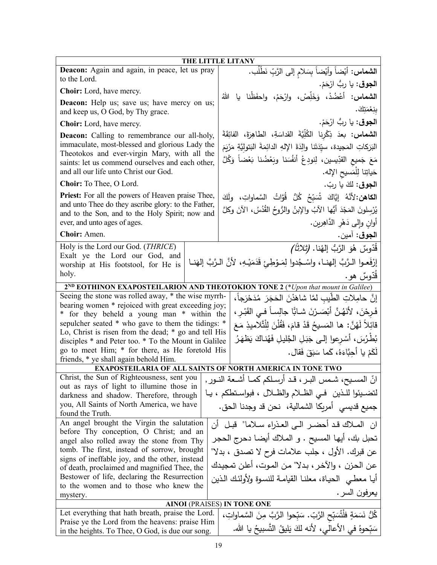| THE LITTLE LITANY                                                                                                       |                                                                                               |  |
|-------------------------------------------------------------------------------------------------------------------------|-----------------------------------------------------------------------------------------------|--|
| Deacon: Again and again, in peace, let us pray<br>to the Lord.                                                          | ا <b>لشماس:</b> أَيْضاً وأَيْضاً بِسَلام إلى الرَّبِّ نَطْلُب.                                |  |
| Choir: Lord, have mercy.                                                                                                | ا <b>لجوق</b> : يا ربُّ ارْحَمْ.                                                              |  |
| <b>Deacon:</b> Help us; save us; have mercy on us;                                                                      | ا <b>لشماس:</b> أَعْضُدْ، وَخَلِّصْ، وارْحَمْ، واحفَظْنا يا اللهُ<br>بنِعْمَتِكَ.             |  |
| and keep us, O God, by Thy grace.                                                                                       |                                                                                               |  |
| <b>Choir:</b> Lord, have mercy.                                                                                         | ا <b>لجوق</b> : يا ربُّ ارْحَمْ.                                                              |  |
| <b>Deacon:</b> Calling to remembrance our all-holy,                                                                     | ا <b>لشماس: بع</b> دَ ذِكْرِنا الكُلِّيَّةَ القداسَةِ، الطاهِرَةَ، الفائِقَةَ                 |  |
| immaculate, most-blessed and glorious Lady the<br>Theotokos and ever-virgin Mary, with all the                          | البَرَكاتِ المَجيدة، سيِّدَتَنا والِدَةَ الإِلهِ الدائِمَةَ البَتوليَّةِ مَرْيَمَ             |  |
| saints: let us commend ourselves and each other,                                                                        | مَعَ جَميع القدِّيسين، لِنودِعْ أَنفُسَنا وبَعْضُنا بَعْضاً وَكُلَّ                           |  |
| and all our life unto Christ our God.                                                                                   | حَياتِنا لِلْمَسيحِ الإِله.                                                                   |  |
| Choir: To Thee, O Lord.                                                                                                 | ا <b>لجوق</b> : لكَ يا ربّ.                                                                   |  |
| <b>Priest:</b> For all the powers of Heaven praise Thee,                                                                | ا <b>لكاهن:</b> 'لأنَّهُ   إيَّاكَ   تُسَبِّحُ   كُلُّ   قُوَّاتُ   السَّماواتِ،   ولَكَ      |  |
| and unto Thee do they ascribe glory: to the Father,<br>and to the Son, and to the Holy Spirit; now and                  | يُرْسِلُونَ المَجْدَ أَيُّها الآبُ والإِبنُ والرُّوحُ القُدُسُ، الآنَ وكلَّ                   |  |
| ever, and unto ages of ages.                                                                                            | أوان وإلى دَهْرِ الدَّاهِرِينِ.                                                               |  |
| Choir: Amen.                                                                                                            | ا <b>لجوق</b> : آمين.                                                                         |  |
| Holy is the Lord our God. (THRICE)                                                                                      | قُدّوسٌ هُوَ الرَّبُّ إلهُنا. <i>(تْلاثَاً)</i>                                               |  |
| Exalt ye the Lord our God, and                                                                                          | إِرْفَعـوا الـرَّبَّ إلـهنــا، واسْـجُدوا لِمَــوْطِـئ قَدَمَيْــهِ، لأنَّ الـرَّبَّ إلهَنــا |  |
| worship at His footstool, for He is<br>holy.                                                                            |                                                                                               |  |
|                                                                                                                         | قَدّوسٌ هو.                                                                                   |  |
| Seeing the stone was rolled away, * the wise myrrh-                                                                     | 2 <sup>ND</sup> EOTHINON EXAPOSTEILARION AND THEOTOKION TONE 2 (*Upon that mount in Galilee)  |  |
| bearing women * rejoiced with great exceeding joy;                                                                      | إِنَّ حامِلاتِ الطَّيبِ لمَّا شاهَدْنَ الْحَجَرَ مُدَحْرَجاً،                                 |  |
| فَرِحْنَ، لأَنَهُنَّ أَبْصَـرْنَ شـابًّا جالِسـاً فـي القَبْـرِ ،<br>for they beheld a young man * within the<br>$\ast$ |                                                                                               |  |
| sepulcher seated * who gave to them the tidings: *                                                                      | قَائِلاً لَهُنَّ: ها المَسيحُ قَدْ قامَ، فَقُلْنَ لِلْتَّلاميذِ مَعَ                          |  |
| Lo, Christ is risen from the dead; * go and tell His<br>disciples * and Peter too. * To the Mount in Galilee            | بُطْرُسَ، أَسْرِعوا إلى جَبَلِ الجَّليلِ فَهُناكَ يَظهَرُ                                     |  |
| go to meet Him; * for there, as He foretold His                                                                         |                                                                                               |  |
| friends, * ye shall again behold Him.                                                                                   | لَكَمْ يا أَحِبَّاءَهُ، كَما سَبَقَ فَقال.                                                    |  |
|                                                                                                                         | EXAPOSTEILARIA OF ALL SAINTS OF NORTH AMERICA IN TONE TWO                                     |  |
| Christ, the Sun of Righteousness, sent you                                                                              | انّ المسـيح، شـمس البـر ، قـد أرسـلكم كمــا أشـعة النــور ,                                   |  |
| out as rays of light to illumine those in                                                                               | لتضيئوا للذين في الظلام والظلال ، فبواستطكم ، يا                                              |  |
| darkness and shadow. Therefore, through<br>you, All Saints of North America, we have                                    |                                                                                               |  |
| found the Truth.                                                                                                        | جميع قديسي  أمريكا الشمالية،  نحن قد وجدنا الحق.                                              |  |
| An angel brought the Virgin the salutation                                                                              | ان المـلاك قـد أحضـر الـي العـذراءِ سـلاما" قبـل أن                                           |  |
| before Thy conception, O Christ; and an<br>angel also rolled away the stone from Thy                                    | تحبل بك، أيها المسيح . و الملاك أيضا دحرج الحجر                                               |  |
| tomb. The first, instead of sorrow, brought                                                                             | عن قبرك. الأول ، جلب علامات فرح لا تصدق ، بدلا"                                               |  |
| signs of ineffable joy, and the other, instead                                                                          |                                                                                               |  |
| of death, proclaimed and magnified Thee, the                                                                            | عن الحزن ، والآخر ، بدلا" من الموت، أعلن تمجيدك                                               |  |
| Bestower of life, declaring the Resurrection<br>to the women and to those who knew the                                  | أيا معطي الحياة، معلنا القيامة للنسوة ولأولئك الذين                                           |  |
| mystery.                                                                                                                | يعرفون السر .                                                                                 |  |
|                                                                                                                         | <b>AINOI</b> (PRAISES) IN TONE ONE                                                            |  |
| Let everything that hath breath, praise the Lord.                                                                       | كُلُّ نَسَمَةٍ فلْتُسَبِّحِ الرَّبِّ. سَبِّحوا الرَّبَّ مِنَ السَّماواتِ،                     |  |
| Praise ye the Lord from the heavens: praise Him<br>in the heights. To Thee, O God, is due our song.                     | سَبِّحوهُ في الأعالي، لأنه لكَ يَليقُ التَّسبيحُ يا الله.                                     |  |
|                                                                                                                         |                                                                                               |  |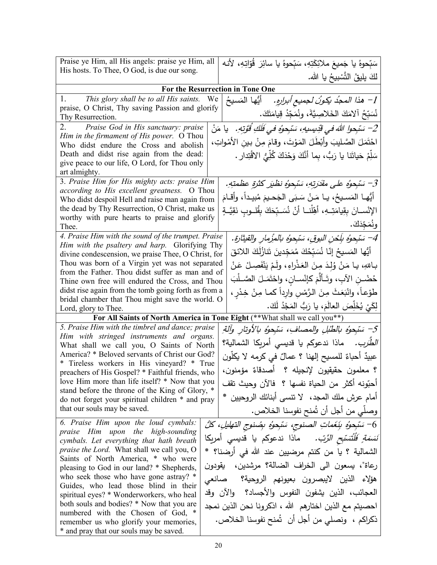| Praise ye Him, all His angels: praise ye Him, all                                                     | سَبِّحوهُ يا جَميعَ ملائِكَتِهِ، سَبِّحوهُ يا سائِرَ  قُوّاتِهِ، لأنه              |
|-------------------------------------------------------------------------------------------------------|------------------------------------------------------------------------------------|
| His hosts. To Thee, O God, is due our song.                                                           | لكَ يليقُ التَّسْبِيحُ يا الله.                                                    |
|                                                                                                       | For the Resurrection in Tone One                                                   |
| 1.<br>This glory shall be to all His saints. We                                                       | أَيُّها المَسيحُ                                                                   |
| praise, O Christ, Thy saving Passion and glorify                                                      | 1– هذا المجدُ يكونُ لجميع أبرارِهِ.                                                |
| Thy Resurrection.                                                                                     | نُسَبِّحُ آلامَكَ الخَلاصِيَّةَ، ونُمَجِّدُ قِيامَتَكَ.                            |
| 2.<br>Praise God in His sanctuary: praise                                                             | 2– سَبْحوا اللهَ في قَدِيسِيهِ، سَبْحوُهِ في فَلَكِ قُوَّتِهِ.    يا مَنْ          |
| Him in the firmament of His power. O Thou                                                             | احْتَمَلَ الصَّليبَ وأَبْطَلَ المَوْتَ، وقامَ مِنْ بين الأمْواتِ،                  |
| Who didst endure the Cross and abolish<br>Death and didst rise again from the dead:                   |                                                                                    |
| give peace to our life, O Lord, for Thou only                                                         | سَلِّمْ حَياتَنا يا رَبُّ، بِما أنَّكَ وَحْدَكَ كُلِّيُّ الاقْتِدارِ .             |
| art almighty.                                                                                         |                                                                                    |
| 3. Praise Him for His mighty acts: praise Him                                                         | 3– سَبْحوُه على مقَدَرتِهِ، سَبْحوُه نظيَر كثرةِ عظمتِهِ.                          |
| according to His excellent greatness. O Thou                                                          | أَيُّهـا المَسـيحُ، يـا مَـنْ سَبَى الجَحـيمَ مُبيـداً، وأقـامَ                    |
| Who didst despoil Hell and raise man again from<br>the dead by Thy Resurrection, O Christ, make us    |                                                                                    |
| worthy with pure hearts to praise and glorify                                                         | الإِنْســانَ بِقِيامَتِــهِ، أَهِّلْنــا أَنْ نُسَــبِّحَكَ بِقُلــوبٍ نَقِيَّــةٍ |
| Thee.                                                                                                 | ونُمَجِّدَكَ.                                                                      |
| 4. Praise Him with the sound of the trumpet. Praise                                                   | 4– سَبْحِوُه بِلِّحْنِ البوقِ، سَبْحِوُه بالمُزْمارِ والقيثارةِ.                   |
| Him with the psaltery and harp. Glorifying Thy<br>divine condescension, we praise Thee, O Christ, for | ِ أَيُّها المَسيحُ إِنَّا نُسَبِّحُكَ مُمَجِّدينَ تَنازُلُكَ اللائقَ               |
| Thou was born of a Virgin yet was not separated                                                       | بـاللهِ، يـا مَنْ وُلِدَ مِنَ العَذْراءِ، ولَمْ يَنْفَصِـلْ عَنْ                   |
| from the Father. Thou didst suffer as man and of                                                      |                                                                                    |
| Thine own free will endured the Cross, and Thou                                                       | حُضْـنِ الآبِ، وتَـألَّمَ كإنْســانِ، واحْتَمَــلَ الصَّــلْبَ                     |
| didst rise again from the tomb going forth as from a                                                  | طوْعاً، وانْبَعَثَ مِنَ الرَّمْسِ وارِداً كما مِنْ خِدْرٍ ،                        |
| bridal chamber that Thou might save the world. O<br>Lord, glory to Thee.                              | لِكَيْ يُخَلِّصَ العالَمَ، يا رَبُّ المَجْدُ لَكَ.                                 |
|                                                                                                       | For All Saints of North America in Tone Eight (** What shall we call you**)        |
| 5. Praise Him with the timbrel and dance; praise                                                      | 5– سَبْحِوُه بالطُبْلِ والمصافِ، سَبْحِوُه بالأوتارِ وآلةِ.                        |
| Him with stringed instruments and organs.                                                             |                                                                                    |
| What shall we call you, O Saints of North                                                             | <i>الطَّرَب.</i> ماذا ندعوكم يا قدي <i>سي</i> أمريكا الشمالية؟                     |
| America? * Beloved servants of Christ our God?<br>* Tireless workers in His vineyard? * True          | عبيدٌ أحباءٌ للمسيح إلهنا ؟ عمالٌ في كرمه لا يكلُّون                               |
| preachers of His Gospel? * Faithful friends, who                                                      | ؟ معلمون حقيقيون لإنجيله ؟  أصدقاءٌ مؤمنون،                                        |
| love Him more than life itself? * Now that you                                                        | أُحبُّونِه أكثر من الحياة نفسها ؟ ۖ فالآن وحيث تقف                                 |
| stand before the throne of the King of Glory, *                                                       | أمام عرش ملك المجد،   لا تتسى أبنائك الروحيين  *                                   |
| do not forget your spiritual children * and pray<br>that our souls may be saved.                      |                                                                                    |
|                                                                                                       | وصلِّي من أجل أن تُمنح نفوسنا الخلاص.                                              |
| 6. Praise Him upon the loud cymbals:<br>praise Him upon the high-sounding                             | 6– سَبْحِوْهُ بِنَغَماتِ الصنوجِ، سَبْحِوْهِ بِصُنوجِ التهليلِ، كُلُّ              |
| cymbals. Let everything that hath breath                                                              | <i>نَسَمَةٍ فَلْتُسَبِّحِ الرَّبِّ.</i> ماذا ندعوكم يا قديسى أمريكا                |
| <i>praise the Lord.</i> What shall we call you, O                                                     | الشمالية ؟ يا من كنتم مرضيين عند الله في أرضنا؟ *                                  |
| Saints of North America, * who were                                                                   |                                                                                    |
| pleasing to God in our land? * Shepherds,                                                             | رعاة"، يسعون الى الخراف الضالة؟ مرشدين، يقودون                                     |
| who seek those who have gone astray? *<br>Guides, who lead those blind in their                       | هؤلاء الذين لايبصرون بعيونهم الروحية؟  صانعي                                       |
| spiritual eyes? * Wonderworkers, who heal                                                             | العجائب، الذين يشفون النفوس والأجساد؟  والآن وقد                                   |
| both souls and bodies? * Now that you are                                                             | احصيتم مع الذين اختارهم الله ، اذكرونا نحن الذين نمجد                              |
| numbered with the Chosen of God, *                                                                    | ذكراكم ،  ونصلي من أجل أن  شُنح نفوسنا الخلاص.                                     |
| remember us who glorify your memories,<br>* and pray that our souls may be saved.                     |                                                                                    |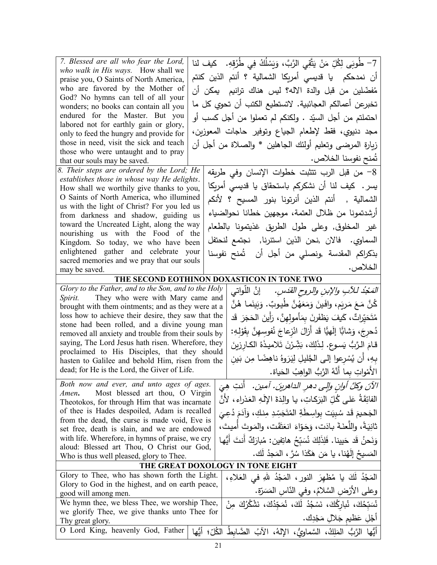| 7. Blessed are all who fear the Lord,                                                               | 7– طُوبَى لِكُلِّ مَنْ يَتَّقِى الرَّبَّ، وَيَسْلُكُ فِي طُرُقِهِ.    كيف لنا                                     |
|-----------------------------------------------------------------------------------------------------|-------------------------------------------------------------------------------------------------------------------|
| who walk in His ways. How shall we                                                                  |                                                                                                                   |
| praise you, O Saints of North America,                                                              | أن نمدحكم  يا قديسى أمريكا الشمالية ؟ أنتم الذين كنتم                                                             |
| who are favored by the Mother of                                                                    | مُفضّلين من قبل والدة الاله؟ ليس هناك ترانيم  يمكن أن                                                             |
| God? No hymns can tell of all your<br>wonders; no books can contain all you                         | تخبرعن أعمالكم العجائبية. لاتستطيع الكتب أن تحوي كل ما                                                            |
| endured for the Master. But you                                                                     | احتملتم من أجل السيّد . ولكنكم لم تعملوا من أجل كسب أو                                                            |
| labored not for earthly gain or glory,                                                              |                                                                                                                   |
| only to feed the hungry and provide for                                                             | مجد دنيوي، فقط لإطعام الجياع وتوفير حاجات المعوزين،                                                               |
| those in need, visit the sick and teach                                                             | زيارة المرضـي وتعليم أولئك الـجاهلين * والصـلاة من أجل أن                                                         |
| those who were untaught and to pray<br>that our souls may be saved.                                 | تُمنح نفوسنا الخلاص.                                                                                              |
| 8. Their steps are ordered by the Lord; He                                                          | 8– من قبل الرب نتثبت خطوات الإنسان وفي طريقه                                                                      |
| establishes those in whose way He delights.                                                         |                                                                                                                   |
| How shall we worthily give thanks to you,                                                           | یسر .  کیف لنا أن نشکرکم باستحقاق یا قدیسی أمریِکا                                                                |
| O Saints of North America, who illumined                                                            | الشمالية ,  أنتم الذين أنرتونا بنور المسيح ؟ لأنكم                                                                |
| us with the light of Christ? For you led us<br>from darkness and shadow, guiding us                 | أرشدتمونا من ظلال العتمة، موجهين خطانا نحوالضياء                                                                  |
| toward the Uncreated Light, along the way                                                           |                                                                                                                   |
| nourishing us with the Food of the                                                                  | غير المخلوق, وعلى طول الطريق غذيتمونا بالطعام                                                                     |
| Kingdom. So today, we who have been                                                                 | السماوي. فالان ,نحن الذين استنرنا, نجتمع لنحتفل                                                                   |
| enlightened gather and celebrate your                                                               | بذكراكم المقدسة ,ونصلي من أجل أن   تُمنح نفوسنا                                                                   |
| sacred memories and we pray that our souls                                                          | الخلاص.                                                                                                           |
| may be saved.                                                                                       | THE SECOND EOTHINON DOXASTICON IN TONE TWO                                                                        |
| Glory to the Father, and to the Son, and to the Holy                                                |                                                                                                                   |
| They who were with Mary came and<br><i>Spirit.</i>                                                  | <i>المَجْدُ للآبِ والإبنِ والروحِ القدَسِ.</i> ﴿ إِنَّ اللَّواتي                                                  |
| brought with them ointments; and as they were at a                                                  | كُنَّ مَعَ مَربَمٍ، وافَينَ وَمَعَهُنَّ طُيوبٌ. وَبَينَما هُنَّ                                                   |
| loss how to achieve their desire, they saw that the                                                 | مُتَحَيّراتٌ ، كَيفَ يَظفَرنَ بِمَأْمولِهنَّ ، رَأَينَ الْحَجَرَ ۖ قَد                                            |
| stone had been rolled, and a divine young man                                                       |                                                                                                                   |
| removed all anxiety and trouble from their souls by                                                 | دُحرجَ، وَشابًا إِلَهيًّا قَد أَزالَ انْزِعاجَ نُفوسِهِنَّ بِقَوْلِهِ:                                            |
| saying, The Lord Jesus hath risen. Wherefore, they<br>proclaimed to His Disciples, that they should | قامَ الرَّبُّ يَسوعٍ. لِذَلِكَ، بَشِّرْنَ تَلاميذَهُ الكارزِينَ                                                   |
| hasten to Galilee and behold Him, risen from the                                                    | بِهِ، أن يُسْرعوا إلىي الجَّليلِ لِيَرَوهُ ناهِضًا مِن بَين                                                       |
| dead; for He is the Lord, the Giver of Life.                                                        | الأَمْواتِ بِما أَنَّهُ الرَّبُّ الواهِبُ الحَياة.                                                                |
| Both now and ever, and unto ages of ages.                                                           |                                                                                                                   |
| Most blessed art thou, O Virgin<br>Amen.                                                            | الآنَ وكلَّ أوانِ وإلى دهرِ الداهرينَ. آمين.   أنتِ هِيَ                                                          |
| Theotokos, for through Him that was incarnate                                                       | الفائِقَةُ عَلى كُلِّ البَرَكاتِ، يا والِدَةَ الإِلَهِ العَذراءِ، لأَنَّ                                          |
| of thee is Hades despoiled, Adam is recalled                                                        | الجَحيمَ قَد سُبِيَت بواسِطَةِ المُتَجَسِّدِ مِنكِ، وَآدَمَ دُعِيَ                                                |
| from the dead, the curse is made void, Eve is<br>set free, death is slain, and we are endowed       | ثانيَةً، واللُّعنَةَ بِادَت، وَجَوّاءَ انعَتَقَت، والمَوتَ أميتَ،                                                 |
| with life. Wherefore, in hymns of praise, we cry                                                    | وَنَحنُ قَد حَيينا. فَلِذَلِكَ نُسَبِّحُ هاتِفين: مُبارَكٌ أنتَ أَيُّها                                           |
| aloud: Blessed art Thou, O Christ our God,                                                          |                                                                                                                   |
| Who is thus well pleased, glory to Thee.                                                            | المَسيحُ إِلَهُنا، يا مَن هَكَذا سُرَّ ، المَجِدُ لَك.                                                            |
|                                                                                                     | THE GREAT DOXOLOGY IN TONE EIGHT                                                                                  |
| Glory to Thee, who has shown forth the Light.                                                       | الْمَجْدُ لَكَ يا مُظْهِرَ النورِ ، الْمَجْدُ للهِ في الْعَلاءِ ،                                                 |
| Glory to God in the highest, and on earth peace,                                                    | وعلى الأرْضِ السَّلامُ، وفي النَّاسِ المَسَرَّةِ.                                                                 |
|                                                                                                     |                                                                                                                   |
| good will among men.                                                                                |                                                                                                                   |
| We hymn thee, we bless Thee, we worship Thee,<br>we glorify Thee, we give thanks unto Thee for      | نُسَبّحُكَ، نُبارِكُكَ، نَسْجُدُ لَكَ، نُمَجّدُكَ، نَشْكُرُكَ مِنْ                                                |
| Thy great glory.<br>O Lord King, heavenly God, Father                                               | أَجْلِ عَظيم جَلالٍ مَجْدِك.<br>أَيُّها الرَّبُّ المَلِكُ، السَّماوِيُّ، الإلهُ، الآبُ الضَّابِطُ الكُلِّ؛ أيُّها |